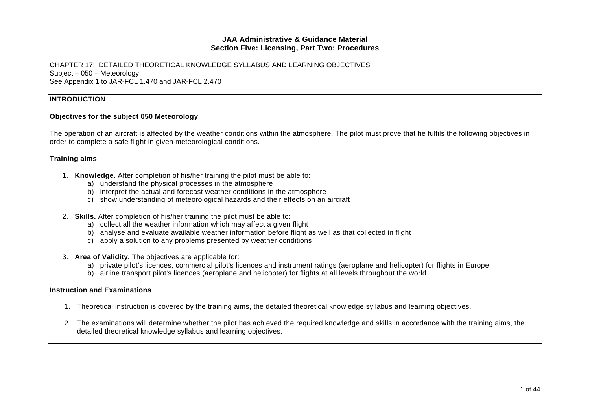CHAPTER 17: DETAILED THEORETICAL KNOWLEDGE SYLLABUS AND LEARNING OBJECTIVES Subject – 050 – Meteorology See Appendix 1 to JAR-FCL 1.470 and JAR-FCL 2.470

#### **INTRODUCTION**

#### **Objectives for the subject 050 Meteorology**

The operation of an aircraft is affected by the weather conditions within the atmosphere. The pilot must prove that he fulfils the following objectives in order to complete a safe flight in given meteorological conditions.

#### **Training aims**

- 1. **Knowledge.** After completion of his/her training the pilot must be able to:
	- a) understand the physical processes in the atmosphere
	- b) interpret the actual and forecast weather conditions in the atmosphere
	- c) show understanding of meteorological hazards and their effects on an aircraft
- 2. **Skills.** After completion of his/her training the pilot must be able to:
	- a) collect all the weather information which may affect a given flight
	- b) analyse and evaluate available weather information before flight as well as that collected in flight
	- c) apply a solution to any problems presented by weather conditions
- 3. **Area of Validity.** The objectives are applicable for:
	- a) private pilot's licences, commercial pilot's licences and instrument ratings (aeroplane and helicopter) for flights in Europe
	- b) airline transport pilot's licences (aeroplane and helicopter) for flights at all levels throughout the world

#### **Instruction and Examinations**

- 1. Theoretical instruction is covered by the training aims, the detailed theoretical knowledge syllabus and learning objectives.
- 2. The examinations will determine whether the pilot has achieved the required knowledge and skills in accordance with the training aims, the detailed theoretical knowledge syllabus and learning objectives.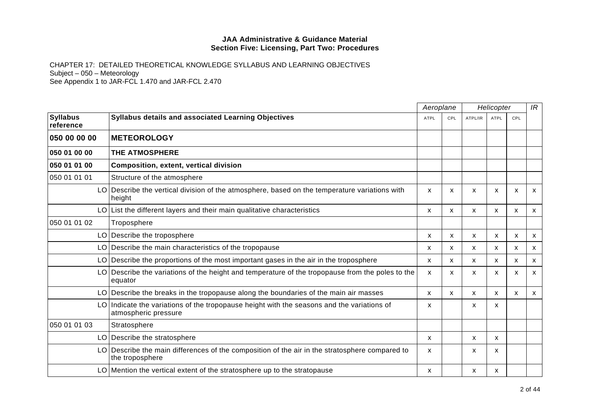|                              |                                                                                                                    |             | Aeroplane |         | Helicopter                |     |                           |
|------------------------------|--------------------------------------------------------------------------------------------------------------------|-------------|-----------|---------|---------------------------|-----|---------------------------|
| <b>Syllabus</b><br>reference | Syllabus details and associated Learning Objectives                                                                | <b>ATPL</b> | CPL       | ATPL/IR | <b>ATPL</b>               | CPL |                           |
| 050 00 00 00                 | <b>IMETEOROLOGY</b>                                                                                                |             |           |         |                           |     |                           |
| 050 01 00 00                 | <b>THE ATMOSPHERE</b>                                                                                              |             |           |         |                           |     |                           |
| 050 01 01 00                 | <b>Composition, extent, vertical division</b>                                                                      |             |           |         |                           |     |                           |
| 050 01 01 01                 | Structure of the atmosphere                                                                                        |             |           |         |                           |     |                           |
|                              | LO   Describe the vertical division of the atmosphere, based on the temperature variations with<br>height          | X           | X         | X       | x                         | x   | $\mathsf{x}$              |
|                              | LO List the different layers and their main qualitative characteristics                                            | x           | X         | X       | $\mathsf{x}$              | X   | X                         |
| 050 01 01 02                 | Troposphere                                                                                                        |             |           |         |                           |     |                           |
|                              | LO Describe the troposphere                                                                                        | X           | X         | X       | x                         | X   | $\mathsf{x}$              |
|                              | LO Describe the main characteristics of the tropopause                                                             | X           | X         | X       | $\boldsymbol{\mathsf{x}}$ | X   | $\boldsymbol{\mathsf{x}}$ |
|                              | LO Describe the proportions of the most important gases in the air in the troposphere                              | X.          | X         | X       | X                         | X   | $\boldsymbol{\mathsf{x}}$ |
|                              | LO Describe the variations of the height and temperature of the tropopause from the poles to the<br>equator        | X           | X         | x       | X                         | X   | X                         |
|                              | LO Describe the breaks in the tropopause along the boundaries of the main air masses                               | X           | X         | X       | $\mathsf{x}$              | X   | X                         |
|                              | LO Indicate the variations of the tropopause height with the seasons and the variations of<br>atmospheric pressure | X           |           | x       | X                         |     |                           |
| 050 01 01 03                 | Stratosphere                                                                                                       |             |           |         |                           |     |                           |
|                              | LO Describe the stratosphere                                                                                       | X           |           | X       | X                         |     |                           |
|                              | LO Describe the main differences of the composition of the air in the stratosphere compared to<br>the troposphere  | X           |           | X       | x                         |     |                           |
|                              | LO Mention the vertical extent of the stratosphere up to the stratopause                                           | X           |           | X       | х                         |     |                           |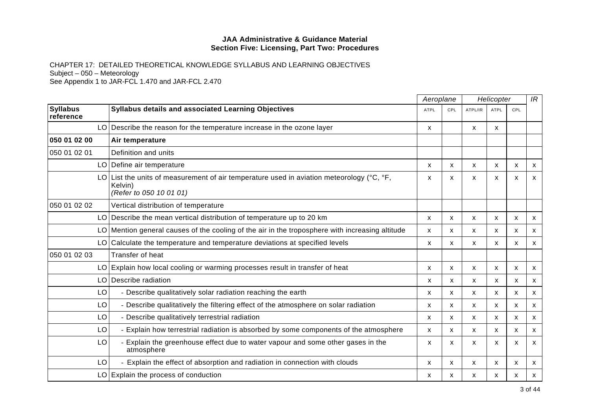|                              |                                                                                                                                                 | Aeroplane   |              | Helicopter |              |              | IR |
|------------------------------|-------------------------------------------------------------------------------------------------------------------------------------------------|-------------|--------------|------------|--------------|--------------|----|
| <b>Syllabus</b><br>reference | Syllabus details and associated Learning Objectives                                                                                             | <b>ATPL</b> | <b>CPL</b>   | ATPL/IR    | <b>ATPL</b>  | <b>CPL</b>   |    |
|                              | LO Describe the reason for the temperature increase in the ozone layer                                                                          | X.          |              | X          | X            |              |    |
| 050 01 02 00                 | Air temperature                                                                                                                                 |             |              |            |              |              |    |
| 050 01 02 01                 | Definition and units                                                                                                                            |             |              |            |              |              |    |
| LO                           | Define air temperature                                                                                                                          | X           | X            | X          | $\mathsf{x}$ | $\mathsf{x}$ | X  |
| LO I                         | List the units of measurement of air temperature used in aviation meteorology ( $\degree$ C, $\degree$ F,<br>Kelvin)<br>(Refer to 050 10 01 01) | x           | x            | X          | X            | X            | X  |
| 050 01 02 02                 | Vertical distribution of temperature                                                                                                            |             |              |            |              |              |    |
|                              | LO Describe the mean vertical distribution of temperature up to 20 km                                                                           | X           | X            | X          | X            | х            | X  |
| LO.                          | Mention general causes of the cooling of the air in the troposphere with increasing altitude                                                    | X           | $\mathsf{x}$ | X          | X            | X            | X  |
| LO                           | Calculate the temperature and temperature deviations at specified levels                                                                        | x           | X            | X          | X            | X            | X  |
| 050 01 02 03                 | Transfer of heat                                                                                                                                |             |              |            |              |              |    |
|                              | LO Explain how local cooling or warming processes result in transfer of heat                                                                    | X           | X            | X          | X            | X            | X  |
| LO                           | Describe radiation                                                                                                                              | X           | X            | X          | $\mathsf{x}$ | $\mathsf{x}$ | X  |
| LO                           | - Describe qualitatively solar radiation reaching the earth                                                                                     | X           | X            | X          | X            | X            | X  |
| LO                           | - Describe qualitatively the filtering effect of the atmosphere on solar radiation                                                              | x           | X            | X          | x            | X            | X  |
| LO                           | - Describe qualitatively terrestrial radiation                                                                                                  | X           | $\mathsf{x}$ | X          | X            | X            | X  |
| LO                           | - Explain how terrestrial radiation is absorbed by some components of the atmosphere                                                            | X           | X            | X          | X            | X            | X  |
| LO                           | - Explain the greenhouse effect due to water vapour and some other gases in the<br>atmosphere                                                   | X           | X            | X          | $\mathsf{x}$ | $\mathsf{x}$ | X  |
| LO                           | - Explain the effect of absorption and radiation in connection with clouds                                                                      | X           | $\mathsf{x}$ | X          | X            | X            | X  |
| LO                           | Explain the process of conduction                                                                                                               | х           | X            | x          | x            | x            | X  |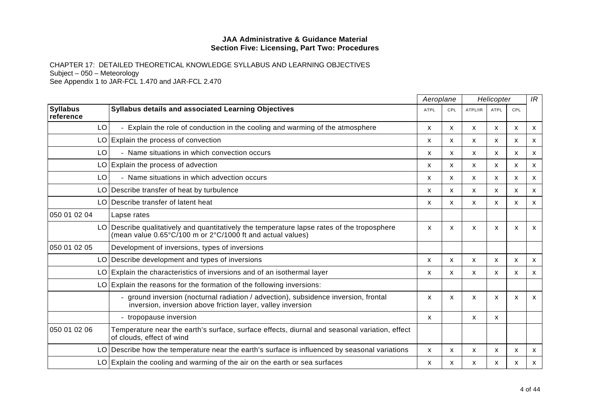|                              |                                                                                                                                                           | Aeroplane   |     | Helicopter   |                           |              | IR                        |
|------------------------------|-----------------------------------------------------------------------------------------------------------------------------------------------------------|-------------|-----|--------------|---------------------------|--------------|---------------------------|
| <b>Syllabus</b><br>reference | Syllabus details and associated Learning Objectives                                                                                                       | <b>ATPL</b> | CPL | ATPL/IR      | <b>ATPL</b>               | CPL          |                           |
| LO                           | Explain the role of conduction in the cooling and warming of the atmosphere                                                                               | X           | X   | X            | $\mathsf{x}$              | X            | $\mathsf{x}$              |
|                              | LO Explain the process of convection                                                                                                                      | X           | X   | X            | X                         | $\mathsf{x}$ | $\mathsf{x}$              |
| LO                           | - Name situations in which convection occurs                                                                                                              | X           | X   | X            | X                         | X            | X                         |
|                              | LO Explain the process of advection                                                                                                                       | X           | X   | X            | $\boldsymbol{\mathsf{x}}$ | $\mathsf{x}$ | $\mathsf{x}$              |
| LO                           | - Name situations in which advection occurs                                                                                                               | X           | X.  | X            | X                         | X            | $\mathsf{x}$              |
|                              | LO Describe transfer of heat by turbulence                                                                                                                | x           | X   | X            | X                         | X            | $\boldsymbol{\mathsf{x}}$ |
|                              | LO Describe transfer of latent heat                                                                                                                       | X           | X   | X            | $\mathsf{x}$              | $\mathsf{x}$ | $\mathsf{x}$              |
| 050 01 02 04                 | Lapse rates                                                                                                                                               |             |     |              |                           |              |                           |
|                              | LO Describe qualitatively and quantitatively the temperature lapse rates of the troposphere<br>(mean value 0.65°C/100 m or 2°C/1000 ft and actual values) | X           | X   | X            | X                         | x            | X                         |
| 050 01 02 05                 | Development of inversions, types of inversions                                                                                                            |             |     |              |                           |              |                           |
|                              | LO Describe development and types of inversions                                                                                                           | X           | X   | X            | $\mathsf{x}$              | X            | $\boldsymbol{\mathsf{x}}$ |
|                              | LO Explain the characteristics of inversions and of an isothermal layer                                                                                   | x           | X   | $\mathsf{x}$ | X                         | $\mathsf{x}$ | X                         |
|                              | LO Explain the reasons for the formation of the following inversions:                                                                                     |             |     |              |                           |              |                           |
|                              | - ground inversion (nocturnal radiation / advection), subsidence inversion, frontal<br>inversion, inversion above friction layer, valley inversion        | X           | X   | $\mathsf{x}$ | $\boldsymbol{\mathsf{x}}$ | X            | $\mathsf{x}$              |
|                              | - tropopause inversion                                                                                                                                    | X           |     | X            | X                         |              |                           |
| 050 01 02 06                 | Temperature near the earth's surface, surface effects, diurnal and seasonal variation, effect<br>of clouds, effect of wind                                |             |     |              |                           |              |                           |
|                              | LO Describe how the temperature near the earth's surface is influenced by seasonal variations                                                             | X           | X   | X            | $\boldsymbol{\mathsf{x}}$ | X            | $\boldsymbol{\mathsf{x}}$ |
|                              | LO Explain the cooling and warming of the air on the earth or sea surfaces                                                                                | X           | x   | X            | х                         | х            | X                         |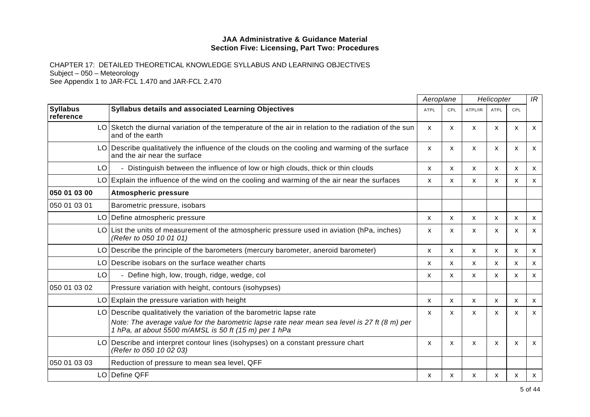|                              |                                                                                                                                                                                                                            |             | Aeroplane<br>Helicopter |              |              | IR           |              |
|------------------------------|----------------------------------------------------------------------------------------------------------------------------------------------------------------------------------------------------------------------------|-------------|-------------------------|--------------|--------------|--------------|--------------|
| <b>Syllabus</b><br>reference | Syllabus details and associated Learning Objectives                                                                                                                                                                        | <b>ATPL</b> | CPL                     | ATPL/IR      | ATPL         | <b>CPL</b>   |              |
|                              | LO Sketch the diurnal variation of the temperature of the air in relation to the radiation of the sun<br>and of the earth                                                                                                  | X           | $\mathsf{x}$            | X            | $\mathsf{x}$ | $\mathsf{x}$ | X            |
| LO I                         | Describe qualitatively the influence of the clouds on the cooling and warming of the surface<br>and the air near the surface                                                                                               | X           | X                       | X            | X            | X            | X            |
| LO                           | - Distinguish between the influence of low or high clouds, thick or thin clouds                                                                                                                                            | x           | X                       | X            | x            | X            | X            |
|                              | $LO$ Explain the influence of the wind on the cooling and warming of the air near the surfaces                                                                                                                             | X           | X                       | X            | X            | $\mathsf{x}$ | X            |
| 050 01 03 00                 | <b>Atmospheric pressure</b>                                                                                                                                                                                                |             |                         |              |              |              |              |
| 050 01 03 01                 | Barometric pressure, isobars                                                                                                                                                                                               |             |                         |              |              |              |              |
| LO                           | Define atmospheric pressure                                                                                                                                                                                                | х           | X                       | X            | x            | x            | X            |
| LO.                          | List the units of measurement of the atmospheric pressure used in aviation (hPa, inches)<br>(Refer to 050 10 01 01)                                                                                                        | x           | X.                      | X            | X            | X            | X            |
| LO                           | Describe the principle of the barometers (mercury barometer, aneroid barometer)                                                                                                                                            | X           | $\mathsf{x}$            | X            | X            | X            | $\mathsf{x}$ |
| LO.                          | Describe isobars on the surface weather charts                                                                                                                                                                             | X           | X                       | X            | X            | X            | X            |
| LO                           | - Define high, low, trough, ridge, wedge, col                                                                                                                                                                              | x           | $\mathsf{x}$            | X            | X            | X            | X            |
| 050 01 03 02                 | Pressure variation with height, contours (isohypses)                                                                                                                                                                       |             |                         |              |              |              |              |
| LO.                          | Explain the pressure variation with height                                                                                                                                                                                 | X           | $\mathsf{x}$            | $\mathsf{x}$ | X            | X            | $\mathsf{x}$ |
| LO.                          | Describe qualitatively the variation of the barometric lapse rate<br>Note: The average value for the barometric lapse rate near mean sea level is 27 ft (8 m) per<br>1 hPa, at about 5500 m/AMSL is 50 ft (15 m) per 1 hPa | x           | X                       | X            | X            | X            | X            |
| LO                           | Describe and interpret contour lines (isohypses) on a constant pressure chart<br>(Refer to 050 10 02 03)                                                                                                                   | x           | $\mathsf{x}$            | X            | X            | $\mathsf{x}$ | X            |
| 050 01 03 03                 | Reduction of pressure to mean sea level, QFF                                                                                                                                                                               |             |                         |              |              |              |              |
| LO I                         | Define QFF                                                                                                                                                                                                                 | X           | X                       | x            | X            | $\mathsf{x}$ | X            |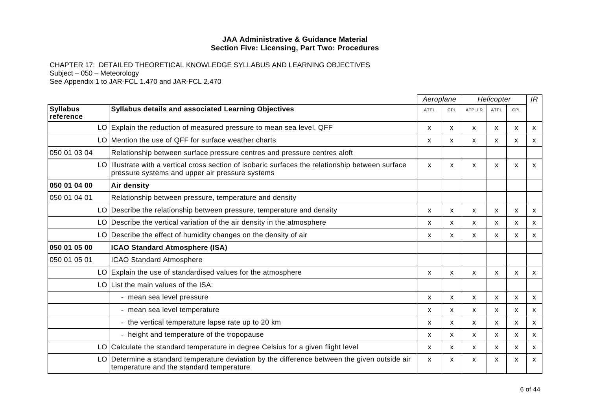|                              |                                                                                                                                                   | Aeroplane   |              | Helicopter |                           |              | IR           |
|------------------------------|---------------------------------------------------------------------------------------------------------------------------------------------------|-------------|--------------|------------|---------------------------|--------------|--------------|
| <b>Syllabus</b><br>reference | Syllabus details and associated Learning Objectives                                                                                               | <b>ATPL</b> | <b>CPL</b>   | ATPL/IR    | <b>ATPL</b>               | CPL          |              |
|                              | LO Explain the reduction of measured pressure to mean sea level, QFF                                                                              | x           | X            | X          | X                         | X            | X            |
|                              | LO Mention the use of QFF for surface weather charts                                                                                              | X           | X            | X          | X                         | X            | X            |
| 050 01 03 04                 | Relationship between surface pressure centres and pressure centres aloft                                                                          |             |              |            |                           |              |              |
| LO                           | Illustrate with a vertical cross section of isobaric surfaces the relationship between surface<br>pressure systems and upper air pressure systems | x           | X            | X          | $\boldsymbol{\mathsf{x}}$ | $\mathsf{x}$ | X            |
| 050 01 04 00                 | Air density                                                                                                                                       |             |              |            |                           |              |              |
| 050 01 04 01                 | Relationship between pressure, temperature and density                                                                                            |             |              |            |                           |              |              |
|                              | LO Describe the relationship between pressure, temperature and density                                                                            | X           | X            | X          | $\mathsf{x}$              | $\mathsf{x}$ | X            |
| LO                           | Describe the vertical variation of the air density in the atmosphere                                                                              | x           | X            | X          | $\mathsf{x}$              | $\mathsf{x}$ | X            |
|                              | $LO$ Describe the effect of humidity changes on the density of air                                                                                | X           | X            | X          | $\boldsymbol{\mathsf{x}}$ | X            | $\mathsf{x}$ |
| 050 01 05 00                 | <b>ICAO Standard Atmosphere (ISA)</b>                                                                                                             |             |              |            |                           |              |              |
| 050 01 05 01                 | <b>ICAO Standard Atmosphere</b>                                                                                                                   |             |              |            |                           |              |              |
|                              | LO Explain the use of standardised values for the atmosphere                                                                                      | X           | X            | X          | $\boldsymbol{\mathsf{x}}$ | $\mathsf{x}$ | X            |
|                              | LO List the main values of the ISA:                                                                                                               |             |              |            |                           |              |              |
|                              | - mean sea level pressure                                                                                                                         | x           | x            | X          | X                         | х            | X            |
|                              | - mean sea level temperature                                                                                                                      | X           | X            | X          | X                         | X            | X            |
|                              | - the vertical temperature lapse rate up to 20 km                                                                                                 | X           | $\mathsf{x}$ | X          | X                         | $\mathsf{x}$ | $\mathsf{x}$ |
|                              | - height and temperature of the tropopause                                                                                                        | X           | X            | X          | $\mathsf{x}$              | $\mathsf{x}$ | X            |
| LO                           | Calculate the standard temperature in degree Celsius for a given flight level                                                                     | X           | $\mathsf{x}$ | X          | X                         | $\mathsf{x}$ | X            |
| LO                           | Determine a standard temperature deviation by the difference between the given outside air<br>temperature and the standard temperature            | x           | X.           | X          | X                         | X            | X            |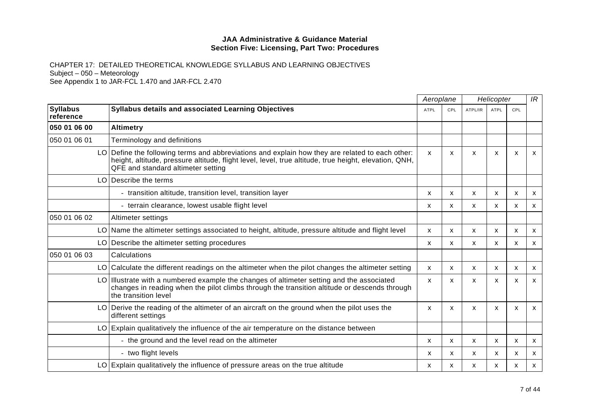|                              |                                                                                                                                                                                                                                                | Aeroplane |              |         | Helicopter                |                           |              |
|------------------------------|------------------------------------------------------------------------------------------------------------------------------------------------------------------------------------------------------------------------------------------------|-----------|--------------|---------|---------------------------|---------------------------|--------------|
| <b>Syllabus</b><br>reference | Syllabus details and associated Learning Objectives                                                                                                                                                                                            |           | CPL          | ATPL/IR | <b>ATPL</b>               | CPL                       |              |
| 050 01 06 00                 | <b>Altimetry</b>                                                                                                                                                                                                                               |           |              |         |                           |                           |              |
| 050 01 06 01                 | Terminology and definitions                                                                                                                                                                                                                    |           |              |         |                           |                           |              |
|                              | LO Define the following terms and abbreviations and explain how they are related to each other:<br>height, altitude, pressure altitude, flight level, level, true altitude, true height, elevation, QNH,<br>QFE and standard altimeter setting | X         | $\mathsf{x}$ | X       | $\boldsymbol{\mathsf{x}}$ | X                         | X            |
| LO                           | Describe the terms                                                                                                                                                                                                                             |           |              |         |                           |                           |              |
|                              | - transition altitude, transition level, transition layer                                                                                                                                                                                      | x         | $\mathsf{x}$ | X       | $\boldsymbol{\mathsf{x}}$ | $\boldsymbol{\mathsf{x}}$ | $\mathsf{x}$ |
|                              | - terrain clearance, lowest usable flight level                                                                                                                                                                                                | x         | X            | X       | X                         | $\boldsymbol{\mathsf{x}}$ | X            |
| 050 01 06 02                 | Altimeter settings                                                                                                                                                                                                                             |           |              |         |                           |                           |              |
|                              | LO Name the altimeter settings associated to height, altitude, pressure altitude and flight level                                                                                                                                              | X         | X            | X       | $\mathsf{x}$              | $\boldsymbol{\mathsf{x}}$ | X            |
|                              | LO Describe the altimeter setting procedures                                                                                                                                                                                                   | x         | X            | X       | X                         | x                         | X            |
| 050 01 06 03                 | Calculations                                                                                                                                                                                                                                   |           |              |         |                           |                           |              |
|                              | LO Calculate the different readings on the altimeter when the pilot changes the altimeter setting                                                                                                                                              | X         | $\mathsf{x}$ | X       | X                         | $\boldsymbol{\mathsf{x}}$ | X            |
|                              | LO Illustrate with a numbered example the changes of altimeter setting and the associated<br>changes in reading when the pilot climbs through the transition altitude or descends through<br>the transition level                              | X         | X            | X       | x                         | x                         | X            |
|                              | LO Derive the reading of the altimeter of an aircraft on the ground when the pilot uses the<br>different settings                                                                                                                              | X         | X            | X       | $\mathsf{x}$              | $\boldsymbol{\mathsf{x}}$ | X            |
|                              | LO Explain qualitatively the influence of the air temperature on the distance between                                                                                                                                                          |           |              |         |                           |                           |              |
|                              | - the ground and the level read on the altimeter                                                                                                                                                                                               | X         | $\mathsf{x}$ | X       | X                         | X                         | X            |
|                              | - two flight levels                                                                                                                                                                                                                            | x         | X            | X       | X                         | X                         | X            |
|                              | LO Explain qualitatively the influence of pressure areas on the true altitude                                                                                                                                                                  | X         | X            | X       | X                         | X                         | X            |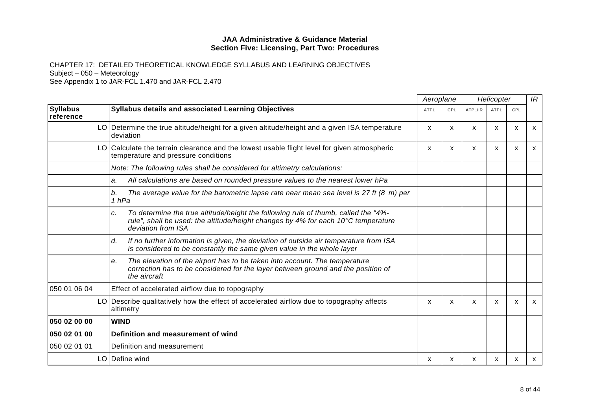|                              |                                                                                                                                                                                                     |      | Aeroplane  |         | Helicopter  |     |   |
|------------------------------|-----------------------------------------------------------------------------------------------------------------------------------------------------------------------------------------------------|------|------------|---------|-------------|-----|---|
| <b>Syllabus</b><br>reference | Syllabus details and associated Learning Objectives                                                                                                                                                 | ATPL | <b>CPL</b> | ATPL/IR | <b>ATPL</b> | CPL |   |
| LO.                          | Determine the true altitude/height for a given altitude/height and a given ISA temperature<br>deviation                                                                                             | X.   | X.         | X       | X           | x   | х |
| LO.                          | Calculate the terrain clearance and the lowest usable flight level for given atmospheric<br>temperature and pressure conditions                                                                     | x    | X.         | X       | X           | X   | x |
|                              | Note: The following rules shall be considered for altimetry calculations:                                                                                                                           |      |            |         |             |     |   |
|                              | All calculations are based on rounded pressure values to the nearest lower hPa<br>a.                                                                                                                |      |            |         |             |     |   |
|                              | The average value for the barometric lapse rate near mean sea level is 27 ft $(8 \text{ m})$ per<br>b.<br>1 hPa                                                                                     |      |            |         |             |     |   |
|                              | To determine the true altitude/height the following rule of thumb, called the "4%-<br>c.<br>rule", shall be used: the altitude/height changes by 4% for each 10°C temperature<br>deviation from ISA |      |            |         |             |     |   |
|                              | If no further information is given, the deviation of outside air temperature from ISA<br>d.<br>is considered to be constantly the same given value in the whole layer                               |      |            |         |             |     |   |
|                              | The elevation of the airport has to be taken into account. The temperature<br>е.<br>correction has to be considered for the layer between ground and the position of<br>the aircraft                |      |            |         |             |     |   |
| 050 01 06 04                 | Effect of accelerated airflow due to topography                                                                                                                                                     |      |            |         |             |     |   |
|                              | LO Describe qualitatively how the effect of accelerated airflow due to topography affects<br>altimetry                                                                                              | x    | X          | X       | X           | X   | X |
| 050 02 00 00                 | <b>WIND</b>                                                                                                                                                                                         |      |            |         |             |     |   |
| 050 02 01 00                 | Definition and measurement of wind                                                                                                                                                                  |      |            |         |             |     |   |
| 050 02 01 01                 | Definition and measurement                                                                                                                                                                          |      |            |         |             |     |   |
|                              | LO   Define wind                                                                                                                                                                                    | х    | х          | x       | x           | х   | x |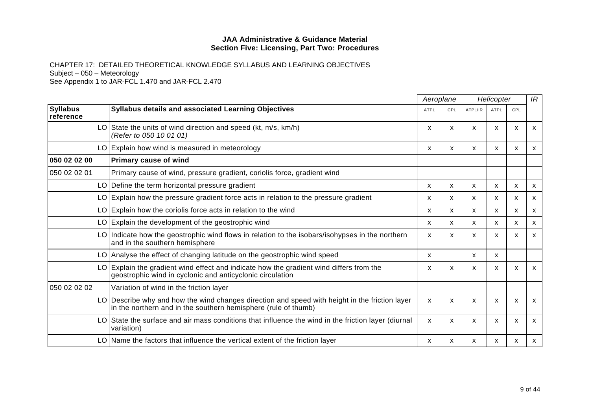|                              |                                                                                                                                                               | Aeroplane   |              | Helicopter |                           |     | IR                        |
|------------------------------|---------------------------------------------------------------------------------------------------------------------------------------------------------------|-------------|--------------|------------|---------------------------|-----|---------------------------|
| <b>Syllabus</b><br>reference | <b>Syllabus details and associated Learning Objectives</b>                                                                                                    | <b>ATPL</b> | CPL          | ATPL/IR    | <b>ATPL</b>               | CPL |                           |
|                              | LO State the units of wind direction and speed ( $kt$ , $m/s$ , $km/h$ )<br>(Refer to 050 10 01 01)                                                           | x           | X            | X          | x                         | X   | x                         |
| LO.                          | Explain how wind is measured in meteorology                                                                                                                   | x           | x            | X          | X                         | х   | х                         |
| 050 02 02 00                 | Primary cause of wind                                                                                                                                         |             |              |            |                           |     |                           |
| 050 02 02 01                 | Primary cause of wind, pressure gradient, coriolis force, gradient wind                                                                                       |             |              |            |                           |     |                           |
| LO                           | Define the term horizontal pressure gradient                                                                                                                  | x           | $\mathsf{x}$ | X          | X                         | X   | X                         |
| LO I                         | Explain how the pressure gradient force acts in relation to the pressure gradient                                                                             | x           | X            | X          | X                         | X   | $\boldsymbol{\mathsf{x}}$ |
| LO                           | Explain how the coriolis force acts in relation to the wind                                                                                                   | x           | X            | X          | X                         | X   | X                         |
|                              | LO Explain the development of the geostrophic wind                                                                                                            | x           | X.           | X          | X                         | X   | X                         |
| LO I                         | Indicate how the geostrophic wind flows in relation to the isobars/isohypses in the northern<br>and in the southern hemisphere                                | X           | X            | X          | $\boldsymbol{\mathsf{x}}$ | X   | $\mathsf{x}$              |
|                              | LO Analyse the effect of changing latitude on the geostrophic wind speed                                                                                      | X           |              | X          | X                         |     |                           |
| LO                           | Explain the gradient wind effect and indicate how the gradient wind differs from the<br>geostrophic wind in cyclonic and anticyclonic circulation             | X           | X            | X          | $\boldsymbol{\mathsf{x}}$ | X   | X                         |
| 050 02 02 02                 | Variation of wind in the friction layer                                                                                                                       |             |              |            |                           |     |                           |
| LO                           | Describe why and how the wind changes direction and speed with height in the friction layer<br>in the northern and in the southern hemisphere (rule of thumb) | x           | X.           | X          | x                         | X   | x                         |
| LO                           | State the surface and air mass conditions that influence the wind in the friction layer (diurnal<br>variation)                                                | X           | x            | X          | x                         | X   | X                         |
| LO.                          | Name the factors that influence the vertical extent of the friction layer                                                                                     | х           | х            | x          | х                         | x   | x                         |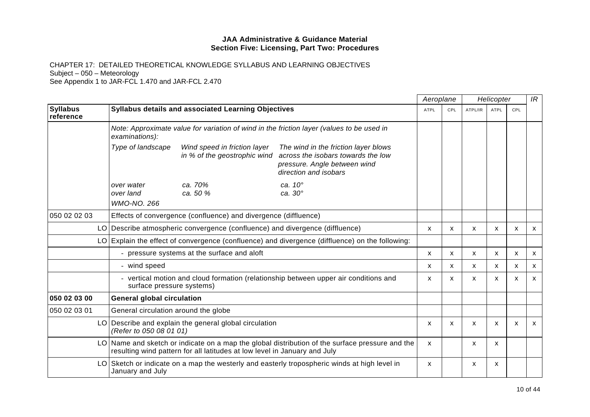|                              |                                               |                                                                           |                                                                                                                                     | Aeroplane   |              | Helicopter |                           |                           | IR           |
|------------------------------|-----------------------------------------------|---------------------------------------------------------------------------|-------------------------------------------------------------------------------------------------------------------------------------|-------------|--------------|------------|---------------------------|---------------------------|--------------|
| <b>Syllabus</b><br>reference |                                               | Syllabus details and associated Learning Objectives                       |                                                                                                                                     | <b>ATPL</b> | CPL          | ATPL/IR    | <b>ATPL</b>               | CPL                       |              |
|                              | examinations):                                |                                                                           | Note: Approximate value for variation of wind in the friction layer (values to be used in                                           |             |              |            |                           |                           |              |
|                              | Type of landscape                             | Wind speed in friction layer<br>in % of the geostrophic wind              | The wind in the friction layer blows<br>across the isobars towards the low<br>pressure. Angle between wind<br>direction and isobars |             |              |            |                           |                           |              |
|                              | over water<br>over land<br><b>WMO-NO. 266</b> | ca. 70%<br>ca. 50 %                                                       | ca. 10°<br>ca. 30°                                                                                                                  |             |              |            |                           |                           |              |
| 050 02 02 03                 |                                               | Effects of convergence (confluence) and divergence (diffluence)           |                                                                                                                                     |             |              |            |                           |                           |              |
|                              | LO                                            | Describe atmospheric convergence (confluence) and divergence (diffluence) |                                                                                                                                     | X           | $\mathsf{x}$ | X          | X                         | X                         | X            |
|                              |                                               |                                                                           | LO Explain the effect of convergence (confluence) and divergence (diffluence) on the following:                                     |             |              |            |                           |                           |              |
|                              |                                               | - pressure systems at the surface and aloft                               |                                                                                                                                     | X           | X            | X          | X                         | X                         | X            |
|                              | - wind speed                                  |                                                                           |                                                                                                                                     | X           | X            | X          | X                         | $\boldsymbol{\mathsf{x}}$ | X            |
|                              | surface pressure systems)                     |                                                                           | - vertical motion and cloud formation (relationship between upper air conditions and                                                | X           | X            | X          | X                         | $\boldsymbol{\mathsf{x}}$ | X            |
| 050 02 03 00                 | <b>General global circulation</b>             |                                                                           |                                                                                                                                     |             |              |            |                           |                           |              |
| 050 02 03 01                 | General circulation around the globe          |                                                                           |                                                                                                                                     |             |              |            |                           |                           |              |
|                              | (Refer to 050 08 01 01)                       | LO Describe and explain the general global circulation                    |                                                                                                                                     | X           | $\mathsf{x}$ | X          | $\boldsymbol{\mathsf{x}}$ | $\boldsymbol{\mathsf{x}}$ | $\mathsf{x}$ |
|                              |                                               | resulting wind pattern for all latitudes at low level in January and July | LO Name and sketch or indicate on a map the global distribution of the surface pressure and the                                     | X           |              | x          | x                         |                           |              |
|                              | LO.<br>January and July                       |                                                                           | Sketch or indicate on a map the westerly and easterly tropospheric winds at high level in                                           | X           |              | X          | X                         |                           |              |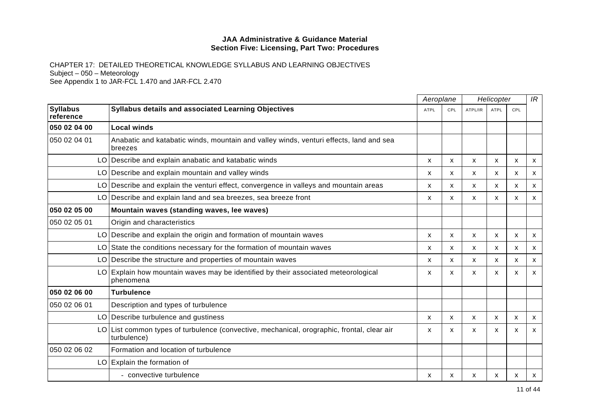|                              |                                                                                                           |             | Aeroplane  |         | Helicopter  |              |              |
|------------------------------|-----------------------------------------------------------------------------------------------------------|-------------|------------|---------|-------------|--------------|--------------|
| <b>Syllabus</b><br>reference | <b>Syllabus details and associated Learning Objectives</b>                                                | <b>ATPL</b> | <b>CPL</b> | ATPL/IR | <b>ATPL</b> | CPL          |              |
| 050 02 04 00                 | <b>Local winds</b>                                                                                        |             |            |         |             |              |              |
| 050 02 04 01                 | Anabatic and katabatic winds, mountain and valley winds, venturi effects, land and sea<br>breezes         |             |            |         |             |              |              |
|                              | LO Describe and explain anabatic and katabatic winds                                                      | X           | X.         | X       | X           | $\mathsf{x}$ | X            |
|                              | LO Describe and explain mountain and valley winds                                                         | x           | X          | x       | X           | X            | X            |
| LO.                          | Describe and explain the venturi effect, convergence in valleys and mountain areas                        | x           | X.         | X       | X           | X            | X            |
|                              | LO Describe and explain land and sea breezes, sea breeze front                                            | х           | X          | X       | x           | х            | X            |
| 050 02 05 00                 | Mountain waves (standing waves, lee waves)                                                                |             |            |         |             |              |              |
| 050 02 05 01                 | Origin and characteristics                                                                                |             |            |         |             |              |              |
|                              | LO Describe and explain the origin and formation of mountain waves                                        | x           | X          | X       | X           | X            | $\mathsf{x}$ |
|                              | LO State the conditions necessary for the formation of mountain waves                                     | X           | x          | X       | x           | X            | X            |
|                              | LO Describe the structure and properties of mountain waves                                                | x           | X.         | X       | x           | X            | $\mathsf{x}$ |
|                              | LO Explain how mountain waves may be identified by their associated meteorological<br>phenomena           | X           | X          | X       | X           | X            | $\mathsf{x}$ |
| 050 02 06 00                 | <b>Turbulence</b>                                                                                         |             |            |         |             |              |              |
| 050 02 06 01                 | Description and types of turbulence                                                                       |             |            |         |             |              |              |
|                              | LO Describe turbulence and gustiness                                                                      | X           | X          | X       | X           | X            | $\mathsf{x}$ |
|                              | LO List common types of turbulence (convective, mechanical, orographic, frontal, clear air<br>turbulence) | X           | X          | X       | X           | X            | X            |
| 050 02 06 02                 | Formation and location of turbulence                                                                      |             |            |         |             |              |              |
|                              | LO Explain the formation of                                                                               |             |            |         |             |              |              |
|                              | - convective turbulence                                                                                   | x           | х          | x       | х           | х            | X            |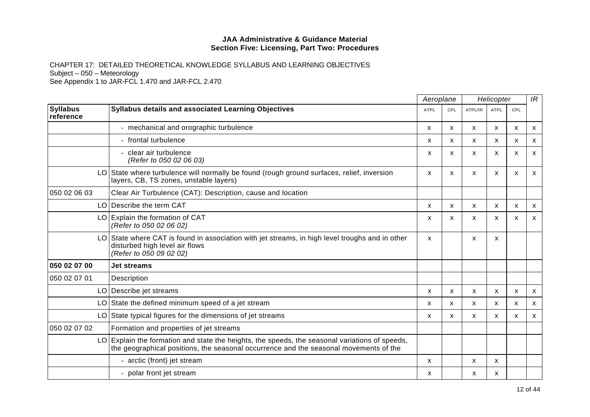|                              |                                                                                                                                                                                         |             | Aeroplane  |              | Helicopter                |                           | IR                        |
|------------------------------|-----------------------------------------------------------------------------------------------------------------------------------------------------------------------------------------|-------------|------------|--------------|---------------------------|---------------------------|---------------------------|
| <b>Syllabus</b><br>reference | Syllabus details and associated Learning Objectives                                                                                                                                     | <b>ATPL</b> | <b>CPL</b> | ATPL/IR      | <b>ATPL</b>               | CPL                       |                           |
|                              | - mechanical and orographic turbulence                                                                                                                                                  | X           | X          | X            | X                         | X                         | $\boldsymbol{\mathsf{x}}$ |
|                              | frontal turbulence<br>$\blacksquare$                                                                                                                                                    | X           | X          | X            | X                         | $\mathsf{x}$              | $\boldsymbol{\mathsf{x}}$ |
|                              | clear air turbulence<br>(Refer to 050 02 06 03)                                                                                                                                         | X           | X          | $\mathsf{x}$ | X                         | $\mathsf{x}$              | $\mathsf{x}$              |
| LO.                          | State where turbulence will normally be found (rough ground surfaces, relief, inversion<br>layers, CB, TS zones, unstable layers)                                                       | X           | X          | X            | X                         | $\boldsymbol{\mathsf{x}}$ | X                         |
| 050 02 06 03                 | Clear Air Turbulence (CAT): Description, cause and location                                                                                                                             |             |            |              |                           |                           |                           |
|                              | LO Describe the term CAT                                                                                                                                                                | X           | x          | X            | X                         | $\mathsf{x}$              | $\boldsymbol{\mathsf{x}}$ |
| LO                           | Explain the formation of CAT<br>(Refer to 050 02 06 02)                                                                                                                                 | X           | X          | X            | $\boldsymbol{\mathsf{x}}$ | X                         | $\mathsf{x}$              |
|                              | LO State where CAT is found in association with jet streams, in high level troughs and in other<br>disturbed high level air flows<br>(Refer to 050 09 02 02)                            | X           |            | X            | X                         |                           |                           |
| 050 02 07 00                 | <b>Jet streams</b>                                                                                                                                                                      |             |            |              |                           |                           |                           |
| 050 02 07 01                 | Description                                                                                                                                                                             |             |            |              |                           |                           |                           |
| LO                           | Describe jet streams                                                                                                                                                                    | X           | X          | X            | $\boldsymbol{\mathsf{x}}$ | X                         | $\boldsymbol{\mathsf{x}}$ |
| LO                           | State the defined minimum speed of a jet stream                                                                                                                                         | X           | x          | X            | X                         | X                         | $\boldsymbol{\mathsf{x}}$ |
| LO                           | State typical figures for the dimensions of jet streams                                                                                                                                 | x           | X          | X            | X                         | x                         | $\mathsf{x}$              |
| 050 02 07 02                 | Formation and properties of jet streams                                                                                                                                                 |             |            |              |                           |                           |                           |
|                              | LO Explain the formation and state the heights, the speeds, the seasonal variations of speeds,<br>the geographical positions, the seasonal occurrence and the seasonal movements of the |             |            |              |                           |                           |                           |
|                              | - arctic (front) jet stream                                                                                                                                                             | X           |            | X            | x                         |                           |                           |
|                              | polar front jet stream                                                                                                                                                                  | X           |            | x            | х                         |                           |                           |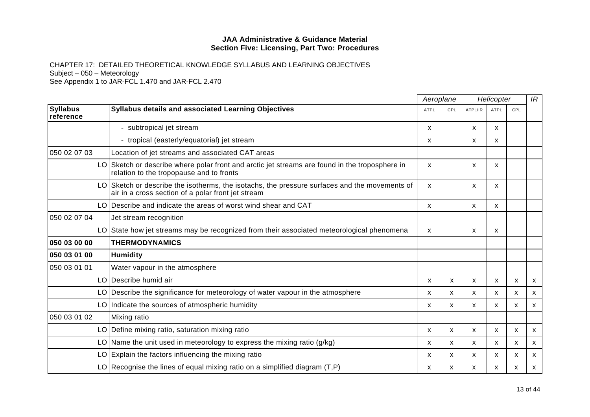|                              |                                                                                                                                                     |             | Aeroplane |         | Helicopter                |                           |              |
|------------------------------|-----------------------------------------------------------------------------------------------------------------------------------------------------|-------------|-----------|---------|---------------------------|---------------------------|--------------|
| <b>Syllabus</b><br>reference | <b>Syllabus details and associated Learning Objectives</b>                                                                                          | <b>ATPL</b> | CPL       | ATPL/IR | <b>ATPL</b>               | CPL                       |              |
|                              | - subtropical jet stream                                                                                                                            | X           |           | X       | X                         |                           |              |
|                              | - tropical (easterly/equatorial) jet stream                                                                                                         | X           |           | X       | x                         |                           |              |
| 050 02 07 03                 | Location of jet streams and associated CAT areas                                                                                                    |             |           |         |                           |                           |              |
| LO.                          | Sketch or describe where polar front and arctic jet streams are found in the troposphere in<br>relation to the tropopause and to fronts             | X.          |           | X       | X                         |                           |              |
|                              | LO Sketch or describe the isotherms, the isotachs, the pressure surfaces and the movements of<br>air in a cross section of a polar front jet stream | X           |           | X       | X                         |                           |              |
|                              | LO Describe and indicate the areas of worst wind shear and CAT                                                                                      | X           |           | X       | $\boldsymbol{\mathsf{x}}$ |                           |              |
| 050 02 07 04                 | Jet stream recognition                                                                                                                              |             |           |         |                           |                           |              |
| LO                           | State how jet streams may be recognized from their associated meteorological phenomena                                                              | X           |           | X       | $\boldsymbol{\mathsf{x}}$ |                           |              |
| 050 03 00 00                 | <b>THERMODYNAMICS</b>                                                                                                                               |             |           |         |                           |                           |              |
| 050 03 01 00                 | <b>Humidity</b>                                                                                                                                     |             |           |         |                           |                           |              |
| 050 03 01 01                 | Water vapour in the atmosphere                                                                                                                      |             |           |         |                           |                           |              |
|                              | LO Describe humid air                                                                                                                               | x           | X         | X       | X                         | $\boldsymbol{\mathsf{x}}$ | $\mathsf{x}$ |
|                              | LO Describe the significance for meteorology of water vapour in the atmosphere                                                                      | x           | X         | X       | X                         | X                         | X            |
|                              | LO Indicate the sources of atmospheric humidity                                                                                                     | X           | X         | X       | X                         | $\mathsf{x}$              | $\mathsf{x}$ |
| 050 03 01 02                 | Mixing ratio                                                                                                                                        |             |           |         |                           |                           |              |
|                              | LO Define mixing ratio, saturation mixing ratio                                                                                                     | X           | X         | X       | X                         | X                         | X            |
|                              | LO Name the unit used in meteorology to express the mixing ratio $(g/kg)$                                                                           | x           | X         | X       | X                         | $\boldsymbol{\mathsf{x}}$ | X            |
|                              | $LO$ Explain the factors influencing the mixing ratio                                                                                               | x           | X         | X       | X                         | x                         | X            |
|                              | LO Recognise the lines of equal mixing ratio on a simplified diagram $(T, P)$                                                                       | x           | x         | x       | X                         | x                         | X            |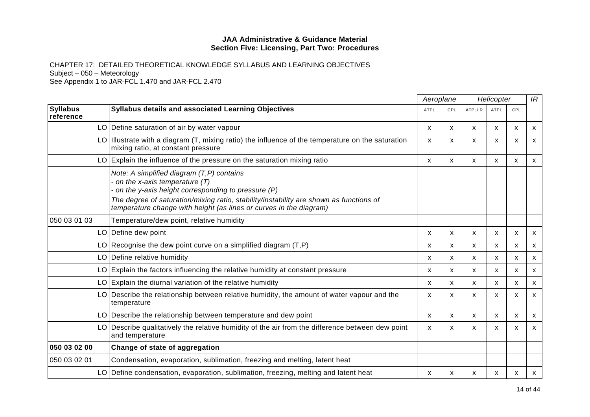|                              |                                                                                                                                                                                                                                                                                                  | Aeroplane   |            | Helicopter |              |                           | IR                        |
|------------------------------|--------------------------------------------------------------------------------------------------------------------------------------------------------------------------------------------------------------------------------------------------------------------------------------------------|-------------|------------|------------|--------------|---------------------------|---------------------------|
| <b>Syllabus</b><br>reference | Syllabus details and associated Learning Objectives                                                                                                                                                                                                                                              | <b>ATPL</b> | <b>CPL</b> | ATPL/IR    | <b>ATPL</b>  | CPL                       |                           |
|                              | LO Define saturation of air by water vapour                                                                                                                                                                                                                                                      | X           | X          | X          | X            | X                         | $\mathsf{x}$              |
|                              | LO   Illustrate with a diagram (T, mixing ratio) the influence of the temperature on the saturation<br>mixing ratio, at constant pressure                                                                                                                                                        | X           | X          | X          | X            | X                         | X                         |
|                              | $LO$ Explain the influence of the pressure on the saturation mixing ratio                                                                                                                                                                                                                        | X           | X          | X          | $\mathsf{x}$ | X                         | X                         |
|                              | Note: A simplified diagram (T,P) contains<br>on the x-axis temperature (T)<br>on the y-axis height corresponding to pressure (P)<br>The degree of saturation/mixing ratio, stability/instability are shown as functions of<br>temperature change with height (as lines or curves in the diagram) |             |            |            |              |                           |                           |
| 050 03 01 03                 | Temperature/dew point, relative humidity                                                                                                                                                                                                                                                         |             |            |            |              |                           |                           |
|                              | LO Define dew point                                                                                                                                                                                                                                                                              | X           | X          | X          | X            | X                         | $\mathsf{x}$              |
|                              | LO Recognise the dew point curve on a simplified diagram $(T, P)$                                                                                                                                                                                                                                | X           | X          | X          | $\mathsf{x}$ | $\boldsymbol{\mathsf{x}}$ | $\mathsf{x}$              |
|                              | LO Define relative humidity                                                                                                                                                                                                                                                                      | х           | х          | X          | x            | X                         | X                         |
|                              | LO Explain the factors influencing the relative humidity at constant pressure                                                                                                                                                                                                                    | x           | X.         | X          | x            | X                         | $\mathsf{x}$              |
|                              | $LO$ Explain the diurnal variation of the relative humidity                                                                                                                                                                                                                                      | X           | X          | X          | X            | $\mathsf{x}$              | $\boldsymbol{\mathsf{x}}$ |
|                              | LO Describe the relationship between relative humidity, the amount of water vapour and the<br>temperature                                                                                                                                                                                        | X           | x          | X          | X            | X                         | X                         |
|                              | LO Describe the relationship between temperature and dew point                                                                                                                                                                                                                                   | X           | x          | x          | х            | X                         | X                         |
|                              | LO Describe qualitatively the relative humidity of the air from the difference between dew point<br>and temperature                                                                                                                                                                              | X           | X          | x          | х            | х                         | X                         |
| 050 03 02 00                 | Change of state of aggregation                                                                                                                                                                                                                                                                   |             |            |            |              |                           |                           |
| 050 03 02 01                 | Condensation, evaporation, sublimation, freezing and melting, latent heat                                                                                                                                                                                                                        |             |            |            |              |                           |                           |
|                              | LO Define condensation, evaporation, sublimation, freezing, melting and latent heat                                                                                                                                                                                                              | x           | х          | x          | х            | х                         | X                         |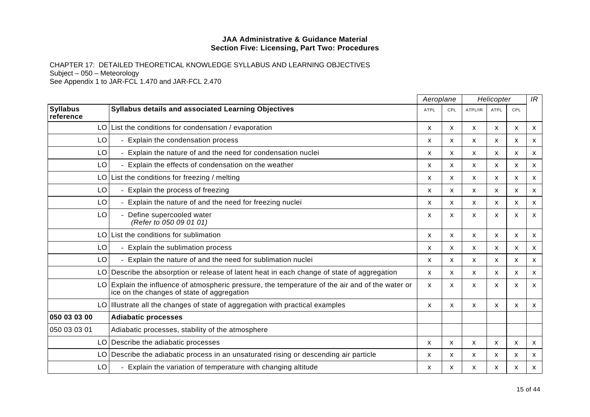|                              |                                                                                                                                             | Aeroplane   |              |         | Helicopter                |              |   |
|------------------------------|---------------------------------------------------------------------------------------------------------------------------------------------|-------------|--------------|---------|---------------------------|--------------|---|
| <b>Syllabus</b><br>reference | Syllabus details and associated Learning Objectives                                                                                         | <b>ATPL</b> | CPL          | ATPL/IR | <b>ATPL</b>               | CPL          |   |
| LO I                         | List the conditions for condensation / evaporation                                                                                          | x           | x            | X       | X                         | X            | X |
| LO                           | Explain the condensation process                                                                                                            | X           | X            | X       | X                         | $\mathsf{x}$ | X |
| LO                           | - Explain the nature of and the need for condensation nuclei                                                                                | x           | X            | X       | X                         | X            | X |
| LO                           | Explain the effects of condensation on the weather                                                                                          | X           | X            | X       | X                         | X            | X |
| LO.                          | List the conditions for freezing / melting                                                                                                  | X           | X            | X       | X                         | $\mathsf{x}$ | X |
| LO                           | - Explain the process of freezing                                                                                                           | X           | $\mathsf{x}$ | X       | $\boldsymbol{\mathsf{x}}$ | $\mathsf{x}$ | X |
| LO                           | Explain the nature of and the need for freezing nuclei                                                                                      | X           | X            | X       | X                         | $\mathsf{x}$ | X |
| LO                           | Define supercooled water<br>(Refer to 050 09 01 01)                                                                                         | X           | X            | X       | X                         | $\mathsf{x}$ | X |
| LO.                          | List the conditions for sublimation                                                                                                         | х           | X            | X       | X                         | х            | X |
| LO                           | Explain the sublimation process<br>$\blacksquare$                                                                                           | X           | X            | X       | X                         | $\mathsf{x}$ | X |
| LO                           | Explain the nature of and the need for sublimation nuclei                                                                                   | X           | $\mathsf{x}$ | X       | X                         | $\mathsf{x}$ | X |
|                              | LO Describe the absorption or release of latent heat in each change of state of aggregation                                                 | X           | X            | X       | $\boldsymbol{\mathsf{x}}$ | $\mathsf{x}$ | X |
| LO.                          | Explain the influence of atmospheric pressure, the temperature of the air and of the water or<br>ice on the changes of state of aggregation | X           | X            | X       | $\boldsymbol{\mathsf{x}}$ | $\mathsf{x}$ | X |
|                              | LO Illustrate all the changes of state of aggregation with practical examples                                                               | X           | X            | X       | X                         | $\mathsf{x}$ | X |
| 050 03 03 00                 | <b>Adiabatic processes</b>                                                                                                                  |             |              |         |                           |              |   |
| 050 03 03 01                 | Adiabatic processes, stability of the atmosphere                                                                                            |             |              |         |                           |              |   |
|                              | LO Describe the adiabatic processes                                                                                                         | X           | X            | X       | X                         | X            | X |
| LO                           | Describe the adiabatic process in an unsaturated rising or descending air particle                                                          | X           | X            | X       | X                         | X            | X |
| LO                           | Explain the variation of temperature with changing altitude                                                                                 | x           | x            | X       | x                         | x            | X |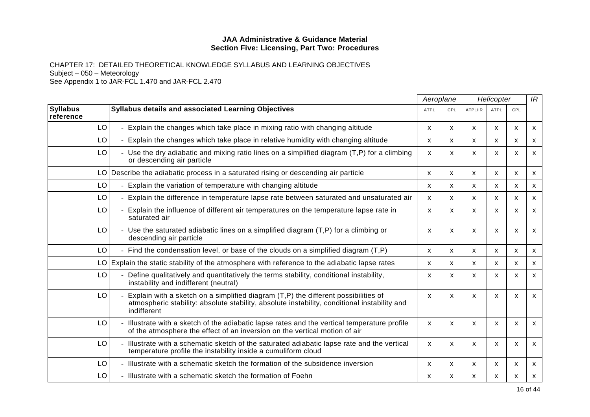|                              |                                                                                                                                                                                                   | Aeroplane |              | Helicopter   |              |              | IR                        |
|------------------------------|---------------------------------------------------------------------------------------------------------------------------------------------------------------------------------------------------|-----------|--------------|--------------|--------------|--------------|---------------------------|
| <b>Syllabus</b><br>reference | <b>Syllabus details and associated Learning Objectives</b>                                                                                                                                        | ATPL      | CPL          | ATPL/IR      | ATPL         | CPL          |                           |
| LO                           | Explain the changes which take place in mixing ratio with changing altitude                                                                                                                       | X         | X            | X            | X            | $\mathsf{x}$ | $\boldsymbol{\mathsf{x}}$ |
| LO                           | Explain the changes which take place in relative humidity with changing altitude                                                                                                                  | X         | X            | X            | X            | X            | $\boldsymbol{\mathsf{x}}$ |
| LO                           | - Use the dry adiabatic and mixing ratio lines on a simplified diagram (T,P) for a climbing<br>or descending air particle                                                                         | X         | X            | X            | X            | X            | X                         |
| LO.                          | Describe the adiabatic process in a saturated rising or descending air particle                                                                                                                   | X         | X            | X            | X            | X            | $\mathsf{x}$              |
| LO                           | Explain the variation of temperature with changing altitude                                                                                                                                       | X         | X            | X            | X            | X            | X                         |
| LO                           | Explain the difference in temperature lapse rate between saturated and unsaturated air                                                                                                            | X         | X.           | X            | X            | X            | $\mathsf{x}$              |
| LO                           | Explain the influence of different air temperatures on the temperature lapse rate in<br>saturated air                                                                                             | X         | X            | x            | X            | X            | X                         |
| LO                           | Use the saturated adiabatic lines on a simplified diagram $(T, P)$ for a climbing or<br>descending air particle                                                                                   | X         | X            | X            | $\mathsf{x}$ | $\mathsf{x}$ | $\mathsf{x}$              |
| LO                           | Find the condensation level, or base of the clouds on a simplified diagram (T,P)                                                                                                                  | X         | X            | $\mathsf{x}$ | X            | X            | $\mathsf{x}$              |
| LO.                          | Explain the static stability of the atmosphere with reference to the adiabatic lapse rates                                                                                                        | X         | X            | X            | $\mathsf{x}$ | X            | X                         |
| LO                           | Define qualitatively and quantitatively the terms stability, conditional instability,<br>instability and indifferent (neutral)                                                                    | X         | X            | $\mathsf{x}$ | X            | $\mathsf{x}$ | $\mathsf{x}$              |
| LO                           | Explain with a sketch on a simplified diagram (T,P) the different possibilities of<br>atmospheric stability: absolute stability, absolute instability, conditional instability and<br>indifferent | X         | X            | X            | X            | X            | X                         |
| LO                           | Illustrate with a sketch of the adiabatic lapse rates and the vertical temperature profile<br>of the atmosphere the effect of an inversion on the vertical motion of air                          | X         | X            | X            | X            | $\mathsf{x}$ | X                         |
| LO                           | Illustrate with a schematic sketch of the saturated adiabatic lapse rate and the vertical<br>temperature profile the instability inside a cumuliform cloud                                        | X         | X            | X            | X            | X            | X                         |
| LO                           | - Illustrate with a schematic sketch the formation of the subsidence inversion                                                                                                                    | X         | $\mathsf{x}$ | $\mathsf{x}$ | X            | X            | $\mathsf{x}$              |
| LO                           | - Illustrate with a schematic sketch the formation of Foehn                                                                                                                                       | x         | X            | X            | X            | X            | X                         |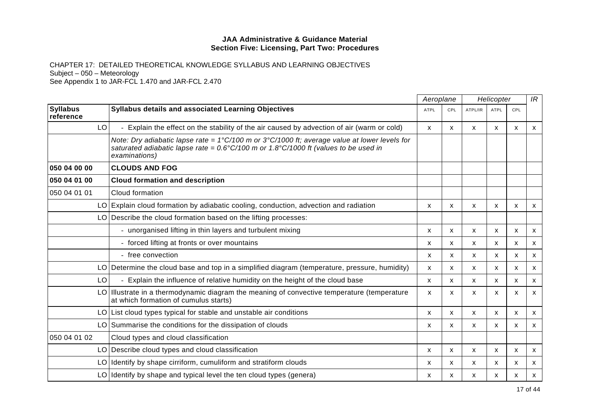|                              |                                                                                                                                                                                                                                   | Aeroplane    |     | Helicopter   |              |              | IR                        |
|------------------------------|-----------------------------------------------------------------------------------------------------------------------------------------------------------------------------------------------------------------------------------|--------------|-----|--------------|--------------|--------------|---------------------------|
| <b>Syllabus</b><br>reference | Syllabus details and associated Learning Objectives                                                                                                                                                                               | <b>ATPL</b>  | CPL | ATPL/IR      | <b>ATPL</b>  | CPL          |                           |
| LO                           | Explain the effect on the stability of the air caused by advection of air (warm or cold)                                                                                                                                          | $\mathsf{x}$ | X   | $\mathsf{x}$ | $\mathsf{x}$ | X            | $\boldsymbol{\mathsf{x}}$ |
|                              | Note: Dry adiabatic lapse rate = $1^{\circ}$ C/100 m or $3^{\circ}$ C/1000 ft; average value at lower levels for<br>saturated adiabatic lapse rate = $0.6^{\circ}C/100$ m or 1.8°C/1000 ft (values to be used in<br>examinations) |              |     |              |              |              |                           |
| 050 04 00 00                 | <b>CLOUDS AND FOG</b>                                                                                                                                                                                                             |              |     |              |              |              |                           |
| 050 04 01 00                 | <b>Cloud formation and description</b>                                                                                                                                                                                            |              |     |              |              |              |                           |
| 050 04 01 01                 | Cloud formation                                                                                                                                                                                                                   |              |     |              |              |              |                           |
|                              | LO Explain cloud formation by adiabatic cooling, conduction, advection and radiation                                                                                                                                              | X            | X   | X            | X            | X            | X                         |
|                              | LO Describe the cloud formation based on the lifting processes:                                                                                                                                                                   |              |     |              |              |              |                           |
|                              | - unorganised lifting in thin layers and turbulent mixing                                                                                                                                                                         | X            | X   | X            | $\mathsf{x}$ | X            | X                         |
|                              | - forced lifting at fronts or over mountains                                                                                                                                                                                      | X            | X   | X            | X            | $\mathsf{x}$ | $\mathsf{x}$              |
|                              | - free convection                                                                                                                                                                                                                 | X            | X.  | X            | X            | X            | $\mathsf{x}$              |
|                              | LO   Determine the cloud base and top in a simplified diagram (temperature, pressure, humidity)                                                                                                                                   | X            | x   | x            | x            | $\mathsf{x}$ | $\boldsymbol{\mathsf{x}}$ |
| LO                           | Explain the influence of relative humidity on the height of the cloud base                                                                                                                                                        | X            | x   | $\mathsf{x}$ | X            | X            | $\mathsf{x}$              |
|                              | LO Illustrate in a thermodynamic diagram the meaning of convective temperature (temperature<br>at which formation of cumulus starts)                                                                                              | X            | X   | X            | X            | X            | X                         |
|                              | LO List cloud types typical for stable and unstable air conditions                                                                                                                                                                | X            | X   | $\mathsf{x}$ | $\mathsf{x}$ | X            | $\mathsf{x}$              |
|                              | LO Summarise the conditions for the dissipation of clouds                                                                                                                                                                         | x            | X   | X            | x            | X            | X                         |
| 050 04 01 02                 | Cloud types and cloud classification                                                                                                                                                                                              |              |     |              |              |              |                           |
|                              | LO Describe cloud types and cloud classification                                                                                                                                                                                  | X            | X   | X            | X            | X            | $\mathsf{x}$              |
|                              | LO Identify by shape cirriform, cumuliform and stratiform clouds                                                                                                                                                                  | x            | x   | X            | X            | X            | X                         |
|                              | LO Identify by shape and typical level the ten cloud types (genera)                                                                                                                                                               | x            | x   | X            | x            | Х            | X                         |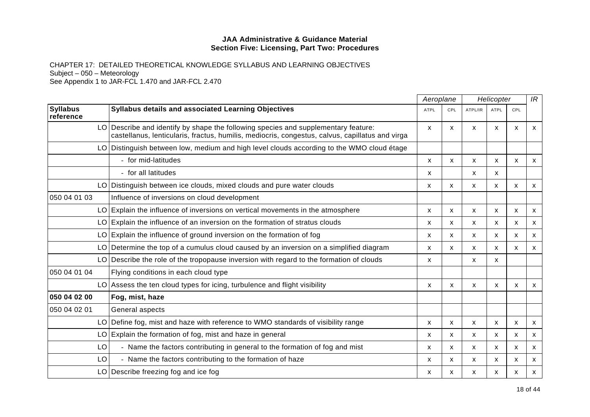|                              |                                                                                                                                                                                       | Aeroplane   |                           |              | Helicopter                |              | IR                        |
|------------------------------|---------------------------------------------------------------------------------------------------------------------------------------------------------------------------------------|-------------|---------------------------|--------------|---------------------------|--------------|---------------------------|
| <b>Syllabus</b><br>reference | Syllabus details and associated Learning Objectives                                                                                                                                   | <b>ATPL</b> | <b>CPL</b>                | ATPL/IR      | <b>ATPL</b>               | CPL          |                           |
|                              | LO Describe and identify by shape the following species and supplementary feature:<br>castellanus, lenticularis, fractus, humilis, mediocris, congestus, calvus, capillatus and virga | X           | X                         | X            | X                         | X            | X                         |
| LO                           | Distinguish between low, medium and high level clouds according to the WMO cloud étage                                                                                                |             |                           |              |                           |              |                           |
|                              | - for mid-latitudes                                                                                                                                                                   | X           | X                         | X            | $\mathsf{x}$              | $\mathsf{x}$ | X                         |
|                              | - for all latitudes                                                                                                                                                                   | X           |                           | X            | $\mathsf{x}$              |              |                           |
|                              | LO Distinguish between ice clouds, mixed clouds and pure water clouds                                                                                                                 | X           | X                         | X            | X                         | X            | $\boldsymbol{\mathsf{x}}$ |
| 050 04 01 03                 | Influence of inversions on cloud development                                                                                                                                          |             |                           |              |                           |              |                           |
| LO                           | Explain the influence of inversions on vertical movements in the atmosphere                                                                                                           | X           | $\boldsymbol{\mathsf{x}}$ | $\mathsf{x}$ | X                         | $\mathsf{x}$ | $\mathsf{x}$              |
|                              | LO Explain the influence of an inversion on the formation of stratus clouds                                                                                                           | x           | X                         | X            | X                         | X            | X                         |
| LO                           | Explain the influence of ground inversion on the formation of fog                                                                                                                     | x           | $\mathsf{x}$              | X            | X                         | X            | X                         |
| LO                           | Determine the top of a cumulus cloud caused by an inversion on a simplified diagram                                                                                                   | X           | X                         | X            | X                         | X            | X                         |
| LO                           | Describe the role of the tropopause inversion with regard to the formation of clouds                                                                                                  | X           |                           | X            | $\boldsymbol{\mathsf{x}}$ |              |                           |
| 050 04 01 04                 | Flying conditions in each cloud type                                                                                                                                                  |             |                           |              |                           |              |                           |
|                              | $LO$ Assess the ten cloud types for icing, turbulence and flight visibility                                                                                                           | X           | X                         | X            | $\mathsf{x}$              | $\mathsf{x}$ | X                         |
| 050 04 02 00                 | Fog, mist, haze                                                                                                                                                                       |             |                           |              |                           |              |                           |
| 050 04 02 01                 | General aspects                                                                                                                                                                       |             |                           |              |                           |              |                           |
| LO                           | Define fog, mist and haze with reference to WMO standards of visibility range                                                                                                         | X           | X                         | X            | X                         | X            | X                         |
| LO                           | Explain the formation of fog, mist and haze in general                                                                                                                                | x           | X                         | X            | X                         | X            | X                         |
| LO                           | - Name the factors contributing in general to the formation of fog and mist                                                                                                           | x           | $\mathsf{x}$              | X            | X                         | X            | X                         |
| LO                           | - Name the factors contributing to the formation of haze                                                                                                                              | X           | X                         | X            | X                         | X            | X                         |
| LO                           | Describe freezing fog and ice fog                                                                                                                                                     | x           | х                         | x            | x                         | x            | X                         |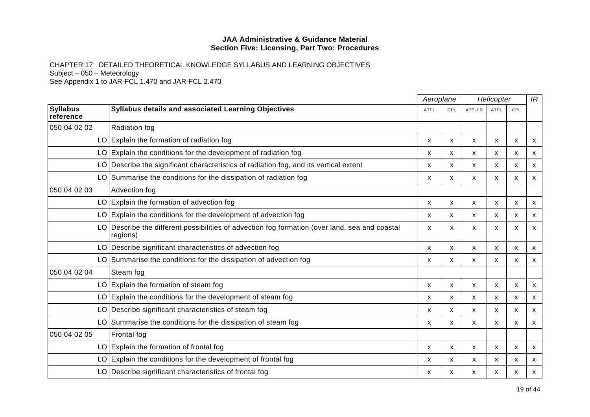|                              |                                                                                                         | Aeroplane   |              | Helicopter |                           |                           | IR |
|------------------------------|---------------------------------------------------------------------------------------------------------|-------------|--------------|------------|---------------------------|---------------------------|----|
| <b>Syllabus</b><br>reference | <b>Syllabus details and associated Learning Objectives</b>                                              | <b>ATPL</b> | CPL          | ATPL/IR    | ATPL                      | CPL                       |    |
| 050 04 02 02                 | <b>Radiation fog</b>                                                                                    |             |              |            |                           |                           |    |
| LO                           | Explain the formation of radiation fog                                                                  | x           | X            | X          | X                         | $\boldsymbol{\mathsf{x}}$ | X  |
| LO                           | Explain the conditions for the development of radiation fog                                             | x           | X            | X          | X                         | $\boldsymbol{\mathsf{x}}$ | X  |
| LO                           | Describe the significant characteristics of radiation fog, and its vertical extent                      | X           | X            | X          | X                         | $\boldsymbol{\mathsf{x}}$ | X  |
|                              | LO Summarise the conditions for the dissipation of radiation fog                                        | x           | X            | X          | X                         | X                         | X  |
| 050 04 02 03                 | Advection fog                                                                                           |             |              |            |                           |                           |    |
| LO                           | Explain the formation of advection fog                                                                  | X           | $\mathsf{x}$ | X          | $\mathsf{x}$              | $\boldsymbol{\mathsf{x}}$ | X  |
|                              | $LO$ Explain the conditions for the development of advection fog                                        | X           | X            | X          | X                         | x                         | x  |
| LO                           | Describe the different possibilities of advection fog formation (over land, sea and coastal<br>regions) | X           | X            | X          | $\boldsymbol{\mathsf{x}}$ | X                         | X  |
| LO                           | Describe significant characteristics of advection fog                                                   | x           | X.           | X          | X                         | X                         | X  |
| LO                           | Summarise the conditions for the dissipation of advection fog                                           | X           | X            | X          | X                         | $\boldsymbol{\mathsf{x}}$ | X  |
| 050 04 02 04                 | Steam fog                                                                                               |             |              |            |                           |                           |    |
| LO                           | Explain the formation of steam fog                                                                      | x           | X            | X          | x                         | X                         | X  |
| LO                           | Explain the conditions for the development of steam fog                                                 | X           | X            | X          | $\boldsymbol{\mathsf{x}}$ | $\mathsf{x}$              | X  |
| LO                           | Describe significant characteristics of steam fog                                                       | x           | X            | X          | X                         | X                         | X  |
|                              | LO Summarise the conditions for the dissipation of steam fog                                            | X           | X            | X          | X                         | X                         | X  |
| 050 04 02 05                 | Frontal fog                                                                                             |             |              |            |                           |                           |    |
| LO                           | Explain the formation of frontal fog                                                                    | X           | X            | X          | X                         | $\boldsymbol{\mathsf{x}}$ | X  |
|                              | LO Explain the conditions for the development of frontal fog                                            | x           | X            | X          | x                         | X                         | x  |
| LO                           | Describe significant characteristics of frontal fog                                                     | х           | х            | x          | х                         | x                         | x  |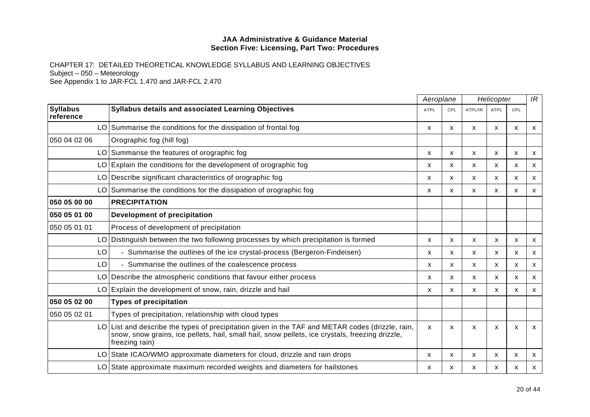|                              |                                                                                                                                                                                                                    | Aeroplane    |     | Helicopter |                           |              | IR |
|------------------------------|--------------------------------------------------------------------------------------------------------------------------------------------------------------------------------------------------------------------|--------------|-----|------------|---------------------------|--------------|----|
| <b>Syllabus</b><br>reference | Syllabus details and associated Learning Objectives                                                                                                                                                                | <b>ATPL</b>  | CPL | ATPL/IR    | <b>ATPL</b>               | <b>CPL</b>   |    |
|                              | LO Summarise the conditions for the dissipation of frontal fog                                                                                                                                                     | X            | X   | X          | X                         | X            | X  |
| 050 04 02 06                 | Orographic fog (hill fog)                                                                                                                                                                                          |              |     |            |                           |              |    |
|                              | LO Summarise the features of orographic fog                                                                                                                                                                        | X            | X   | X          | X                         | X            | X  |
| LO.                          | Explain the conditions for the development of orographic fog                                                                                                                                                       | x            | X   | X          | X                         | X            | X  |
| LO                           | Describe significant characteristics of orographic fog                                                                                                                                                             | X            | X   | X          | X                         | X            | X  |
|                              | LO Summarise the conditions for the dissipation of orographic fog                                                                                                                                                  | x            | X   | X          | X                         | X            | X  |
| 050 05 00 00                 | <b>PRECIPITATION</b>                                                                                                                                                                                               |              |     |            |                           |              |    |
| 050 05 01 00                 | Development of precipitation                                                                                                                                                                                       |              |     |            |                           |              |    |
| 050 05 01 01                 | Process of development of precipitation                                                                                                                                                                            |              |     |            |                           |              |    |
| LO                           | Distinguish between the two following processes by which precipitation is formed                                                                                                                                   | x            | x   | X          | X                         | х            | X  |
| LO                           | - Summarise the outlines of the ice crystal-process (Bergeron-Findeisen)                                                                                                                                           | X            | X   | X          | X                         | $\mathsf{x}$ | X  |
| LO                           | - Summarise the outlines of the coalescence process                                                                                                                                                                | х            | X   | X          | X                         | X            | X  |
| LO                           | Describe the atmospheric conditions that favour either process                                                                                                                                                     | x            | X   | X          | X                         | X            | X  |
| LO                           | Explain the development of snow, rain, drizzle and hail                                                                                                                                                            | x            | X   | X          | X                         | X            | X  |
| 050 05 02 00                 | <b>Types of precipitation</b>                                                                                                                                                                                      |              |     |            |                           |              |    |
| 050 05 02 01                 | Types of precipitation, relationship with cloud types                                                                                                                                                              |              |     |            |                           |              |    |
| LO.                          | List and describe the types of precipitation given in the TAF and METAR codes (drizzle, rain,<br>snow, snow grains, ice pellets, hail, small hail, snow pellets, ice crystals, freezing drizzle,<br>freezing rain) | $\mathsf{x}$ | X   | X          | $\boldsymbol{\mathsf{x}}$ | $\mathsf{x}$ | X  |
| LO                           | State ICAO/WMO approximate diameters for cloud, drizzle and rain drops                                                                                                                                             | X            | X   | X          | х                         | x            | X  |
| LO                           | State approximate maximum recorded weights and diameters for hailstones                                                                                                                                            | x            | X   | X          | X                         | x            | X  |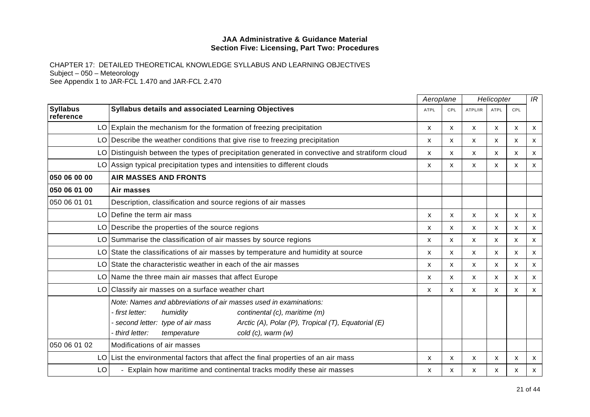|                              |                                                                                                                                                                                                                                                                                     | Aeroplane    |            | Helicopter   |              |                           | IR                        |
|------------------------------|-------------------------------------------------------------------------------------------------------------------------------------------------------------------------------------------------------------------------------------------------------------------------------------|--------------|------------|--------------|--------------|---------------------------|---------------------------|
| <b>Syllabus</b><br>reference | Syllabus details and associated Learning Objectives                                                                                                                                                                                                                                 | <b>ATPL</b>  | <b>CPL</b> | ATPL/IR      | <b>ATPL</b>  | CPL                       |                           |
|                              | $LO$ Explain the mechanism for the formation of freezing precipitation                                                                                                                                                                                                              | $\mathsf{x}$ | X          | $\mathsf{x}$ | $\mathsf{x}$ | $\boldsymbol{\mathsf{x}}$ | $\mathsf{x}$              |
|                              | $LO$ Describe the weather conditions that give rise to freezing precipitation                                                                                                                                                                                                       | x            | x          | X            | X            | X                         | $\mathsf{x}$              |
|                              | LO Distinguish between the types of precipitation generated in convective and stratiform cloud                                                                                                                                                                                      | X            | X          | X            | $\mathsf{x}$ | X                         | X                         |
|                              | LO Assign typical precipitation types and intensities to different clouds                                                                                                                                                                                                           | X            | X          | X            | x            | X                         | $\mathsf{x}$              |
| 050 06 00 00                 | <b>AIR MASSES AND FRONTS</b>                                                                                                                                                                                                                                                        |              |            |              |              |                           |                           |
| 050 06 01 00                 | Air masses                                                                                                                                                                                                                                                                          |              |            |              |              |                           |                           |
| 050 06 01 01                 | Description, classification and source regions of air masses                                                                                                                                                                                                                        |              |            |              |              |                           |                           |
|                              | LO Define the term air mass                                                                                                                                                                                                                                                         | x            | X          | X            | X            | х                         | X                         |
|                              | LO Describe the properties of the source regions                                                                                                                                                                                                                                    | x            | X          | X            | $\mathsf{x}$ | X                         | $\boldsymbol{\mathsf{x}}$ |
|                              | LO Summarise the classification of air masses by source regions                                                                                                                                                                                                                     | x            | X          | X            | X            | X                         | X                         |
|                              | LO State the classifications of air masses by temperature and humidity at source                                                                                                                                                                                                    | X            | X          | X            | X            | X                         | $\boldsymbol{\mathsf{x}}$ |
|                              | LO State the characteristic weather in each of the air masses                                                                                                                                                                                                                       | X            | X          | X            | $\mathsf{x}$ | X                         | $\mathsf{x}$              |
|                              | LO Name the three main air masses that affect Europe                                                                                                                                                                                                                                | X            | X          | $\mathsf{x}$ | $\mathsf{x}$ | X                         | $\mathsf{x}$              |
|                              | LO Classify air masses on a surface weather chart                                                                                                                                                                                                                                   | х            | x          | X            | X            | X                         | X                         |
|                              | Note: Names and abbreviations of air masses used in examinations:<br>continental (c), maritime (m)<br>- first letter:<br>humidity<br>- second letter: type of air mass<br>Arctic (A), Polar (P), Tropical (T), Equatorial (E)<br>third letter:<br>cold (c), warm (w)<br>temperature |              |            |              |              |                           |                           |
| 050 06 01 02                 | Modifications of air masses                                                                                                                                                                                                                                                         |              |            |              |              |                           |                           |
|                              | $LO$ List the environmental factors that affect the final properties of an air mass                                                                                                                                                                                                 | X            | X          | X            | X            | x                         | X                         |
| LO                           | Explain how maritime and continental tracks modify these air masses                                                                                                                                                                                                                 | x            | x          | x            | x            | х                         | X                         |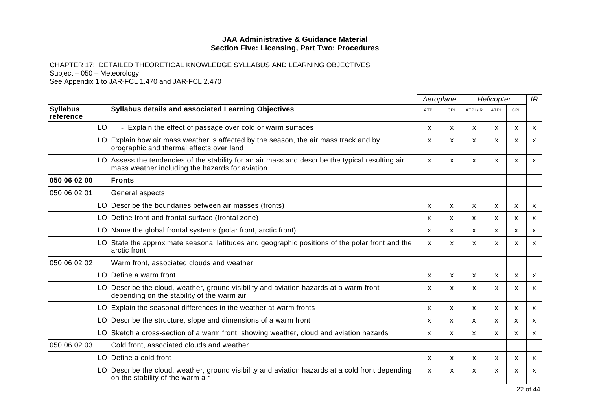|                              |                                                                                                                                                  | Aeroplane   |                           |              | Helicopter   |                           | IR                        |
|------------------------------|--------------------------------------------------------------------------------------------------------------------------------------------------|-------------|---------------------------|--------------|--------------|---------------------------|---------------------------|
| <b>Syllabus</b><br>reference | <b>Syllabus details and associated Learning Objectives</b>                                                                                       | <b>ATPL</b> | CPL                       | ATPL/IR      | <b>ATPL</b>  | CPL                       |                           |
| LO                           | - Explain the effect of passage over cold or warm surfaces                                                                                       | X           | $\mathsf{x}$              | $\mathsf{x}$ | X            | X                         | X                         |
|                              | $LO$ Explain how air mass weather is affected by the season, the air mass track and by<br>orographic and thermal effects over land               | X           | $\boldsymbol{\mathsf{x}}$ | X            | X            | X                         | X                         |
| LO.                          | Assess the tendencies of the stability for an air mass and describe the typical resulting air<br>mass weather including the hazards for aviation | X           | X                         | X            | X            | $\boldsymbol{\mathsf{x}}$ | $\mathsf{x}$              |
| 050 06 02 00                 | <b>Fronts</b>                                                                                                                                    |             |                           |              |              |                           |                           |
| 050 06 02 01                 | General aspects                                                                                                                                  |             |                           |              |              |                           |                           |
| LO I                         | Describe the boundaries between air masses (fronts)                                                                                              | X           | X                         | $\mathsf{x}$ | $\mathsf{x}$ | X                         | X                         |
|                              | LO Define front and frontal surface (frontal zone)                                                                                               | x           | X                         | X            | X            | X                         | $\mathsf{x}$              |
|                              | $LO$ Name the global frontal systems (polar front, arctic front)                                                                                 | x           | X                         | X            | X            | X                         | $\mathsf{x}$              |
|                              | LO State the approximate seasonal latitudes and geographic positions of the polar front and the<br>arctic front                                  | X           | X                         | X            | х            | x                         | X                         |
| 050 06 02 02                 | Warm front, associated clouds and weather                                                                                                        |             |                           |              |              |                           |                           |
| LO.                          | Define a warm front                                                                                                                              | X           | X                         | X            | X            | X                         | X                         |
|                              | LO Describe the cloud, weather, ground visibility and aviation hazards at a warm front<br>depending on the stability of the warm air             | x           | X                         | X            | X            | X                         | X                         |
|                              | $LO$ Explain the seasonal differences in the weather at warm fronts                                                                              | X           | X                         | $\mathsf{x}$ | X            | X                         | $\mathsf{x}$              |
|                              | LO Describe the structure, slope and dimensions of a warm front                                                                                  | X           | x                         | X            | x            | X                         | X                         |
|                              | LO Sketch a cross-section of a warm front, showing weather, cloud and aviation hazards                                                           | X           | X                         | X            | X            | X                         | X                         |
| 050 06 02 03                 | Cold front, associated clouds and weather                                                                                                        |             |                           |              |              |                           |                           |
| LO                           | Define a cold front                                                                                                                              | X           | X                         | $\mathsf{x}$ | $\mathsf{x}$ | $\mathsf{x}$              | $\boldsymbol{\mathsf{x}}$ |
| LO.                          | Describe the cloud, weather, ground visibility and aviation hazards at a cold front depending<br>on the stability of the warm air                | x           | X                         | X            | x            | x                         | X                         |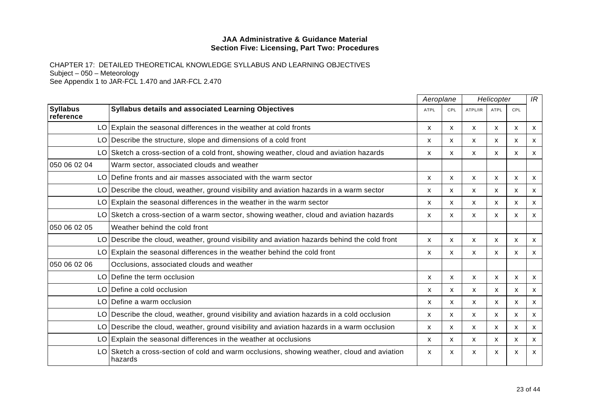|                              |                                                                                                    | Aeroplane   |              |         | Helicopter   |              | IR                        |
|------------------------------|----------------------------------------------------------------------------------------------------|-------------|--------------|---------|--------------|--------------|---------------------------|
| <b>Syllabus</b><br>reference | <b>Syllabus details and associated Learning Objectives</b>                                         | <b>ATPL</b> | CPL          | ATPL/IR | <b>ATPL</b>  | CPL          |                           |
|                              | LO Explain the seasonal differences in the weather at cold fronts                                  | X           | X            | X       | X            | X            | $\mathsf{x}$              |
|                              | LO Describe the structure, slope and dimensions of a cold front                                    | X           | X            | X       | X            | X            | $\mathsf{x}$              |
|                              | LO Sketch a cross-section of a cold front, showing weather, cloud and aviation hazards             | X           | X            | X       | X            | X            | X                         |
| 050 06 02 04                 | Warm sector, associated clouds and weather                                                         |             |              |         |              |              |                           |
| LO.                          | Define fronts and air masses associated with the warm sector                                       | X           | X            | X       | X            | X            | X                         |
| LO                           | Describe the cloud, weather, ground visibility and aviation hazards in a warm sector               | X           | X            | X       | X            | X            | X                         |
| LO.                          | Explain the seasonal differences in the weather in the warm sector                                 | X           | X            | X       | X            | X            | X                         |
|                              | LO Sketch a cross-section of a warm sector, showing weather, cloud and aviation hazards            | X           | X            | X       | X            | X            | $\mathsf{x}$              |
| 050 06 02 05                 | Weather behind the cold front                                                                      |             |              |         |              |              |                           |
|                              | LO Describe the cloud, weather, ground visibility and aviation hazards behind the cold front       | X           | X            | X       | X            | X            | $\mathsf{x}$              |
|                              | $LO$ Explain the seasonal differences in the weather behind the cold front                         | X           | X            | X       | X            | X            | $\mathsf{x}$              |
| 050 06 02 06                 | Occlusions, associated clouds and weather                                                          |             |              |         |              |              |                           |
| LO.                          | Define the term occlusion                                                                          | X           | X            | X       | $\mathsf{x}$ | $\mathsf{x}$ | X                         |
|                              | LO Define a cold occlusion                                                                         | x           | x            | x       | X            | x            | X                         |
|                              | LO Define a warm occlusion                                                                         | X           | X            | X       | $\mathsf{x}$ | X            | X                         |
|                              | LO Describe the cloud, weather, ground visibility and aviation hazards in a cold occlusion         | X           | X            | X       | x            | X            | $\mathsf{x}$              |
| LO                           | Describe the cloud, weather, ground visibility and aviation hazards in a warm occlusion            | X           | $\mathsf{x}$ | X       | X.           | X            | X                         |
|                              | LO Explain the seasonal differences in the weather at occlusions                                   | X           | X            | X       | X            | X            | $\boldsymbol{\mathsf{x}}$ |
| LO                           | Sketch a cross-section of cold and warm occlusions, showing weather, cloud and aviation<br>hazards | x           | X            | X       | х            | х            | x                         |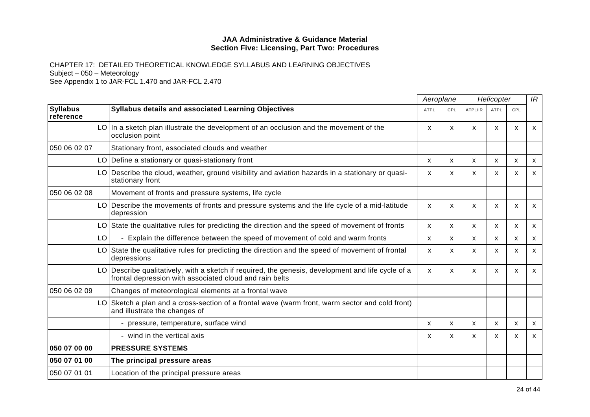|                              |                                                                                                                                                            | Aeroplane   |              | Helicopter |                           |              | IR           |
|------------------------------|------------------------------------------------------------------------------------------------------------------------------------------------------------|-------------|--------------|------------|---------------------------|--------------|--------------|
| <b>Syllabus</b><br>reference | Syllabus details and associated Learning Objectives                                                                                                        | <b>ATPL</b> | <b>CPL</b>   | ATPL/IR    | ATPL                      | <b>CPL</b>   |              |
|                              | $LO$ In a sketch plan illustrate the development of an occlusion and the movement of the<br>occlusion point                                                | X           | X            | X          | X                         | $\mathsf{x}$ | X            |
| 050 06 02 07                 | Stationary front, associated clouds and weather                                                                                                            |             |              |            |                           |              |              |
|                              | LO Define a stationary or quasi-stationary front                                                                                                           | X           | $\mathsf{x}$ | X          | X                         | X            | $\mathsf{x}$ |
| LO                           | Describe the cloud, weather, ground visibility and aviation hazards in a stationary or quasi-<br>stationary front                                          | X           | X            | X          | X                         | X            | X            |
| 050 06 02 08                 | Movement of fronts and pressure systems, life cycle                                                                                                        |             |              |            |                           |              |              |
|                              | LO Describe the movements of fronts and pressure systems and the life cycle of a mid-latitude<br>depression                                                | x           | X.           | X          | X                         | х            | X            |
| LO.                          | State the qualitative rules for predicting the direction and the speed of movement of fronts                                                               | X           | X            | X          | X                         | X            | X            |
| LO                           | Explain the difference between the speed of movement of cold and warm fronts                                                                               | X           | X            | X          | X                         | X            | X            |
|                              | LO State the qualitative rules for predicting the direction and the speed of movement of frontal<br>depressions                                            | X           | X            | X          | $\mathsf{x}$              | $\mathsf{x}$ | X            |
|                              | Describe qualitatively, with a sketch if required, the genesis, development and life cycle of a<br>frontal depression with associated cloud and rain belts | X           | X            | X          | X                         | $\mathsf{x}$ | X            |
| 050 06 02 09                 | Changes of meteorological elements at a frontal wave                                                                                                       |             |              |            |                           |              |              |
| LO                           | Sketch a plan and a cross-section of a frontal wave (warm front, warm sector and cold front)<br>and illustrate the changes of                              |             |              |            |                           |              |              |
|                              | - pressure, temperature, surface wind                                                                                                                      | x           | X            | X          | x                         | X            | X            |
|                              | - wind in the vertical axis                                                                                                                                | X           | X            | X          | $\boldsymbol{\mathsf{x}}$ | $\mathsf{x}$ | X            |
| 050 07 00 00                 | <b>PRESSURE SYSTEMS</b>                                                                                                                                    |             |              |            |                           |              |              |
| 050 07 01 00                 | The principal pressure areas                                                                                                                               |             |              |            |                           |              |              |
| 050 07 01 01                 | Location of the principal pressure areas                                                                                                                   |             |              |            |                           |              |              |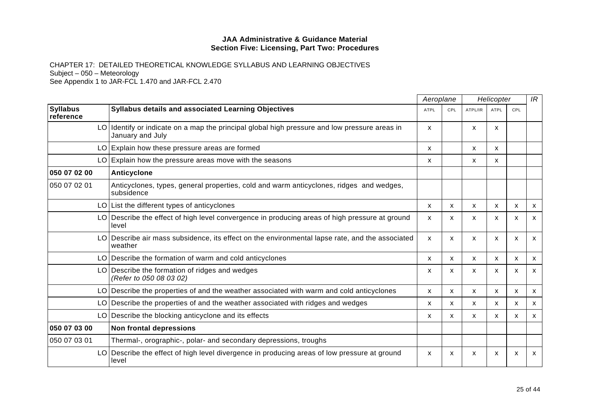|                              |                                                                                                                   | Aeroplane   |              |         | Helicopter                |              | IR           |
|------------------------------|-------------------------------------------------------------------------------------------------------------------|-------------|--------------|---------|---------------------------|--------------|--------------|
| <b>Syllabus</b><br>reference | Syllabus details and associated Learning Objectives                                                               | <b>ATPL</b> | CPL          | ATPL/IR | <b>ATPL</b>               | CPL          |              |
|                              | LO Identify or indicate on a map the principal global high pressure and low pressure areas in<br>January and July | x           |              | X       | $\mathsf{x}$              |              |              |
|                              | LO Explain how these pressure areas are formed                                                                    | X           |              | X       | $\mathsf{x}$              |              |              |
|                              | $LO$ Explain how the pressure areas move with the seasons                                                         | X           |              | X       | X                         |              |              |
| 050 07 02 00                 | <b>Anticyclone</b>                                                                                                |             |              |         |                           |              |              |
| 050 07 02 01                 | Anticyclones, types, general properties, cold and warm anticyclones, ridges and wedges,<br>subsidence             |             |              |         |                           |              |              |
|                              | $LO$ List the different types of anticyclones                                                                     | X           | X            | X       | X                         | $\mathsf{x}$ | X            |
|                              | LO Describe the effect of high level convergence in producing areas of high pressure at ground<br>level           | X           | X            | X       | $\mathsf{x}$              | X            | X            |
| LO.                          | Describe air mass subsidence, its effect on the environmental lapse rate, and the associated<br>weather           | X           | X            | X       | $\boldsymbol{\mathsf{x}}$ | X            | $\mathsf{x}$ |
|                              | LO Describe the formation of warm and cold anticyclones                                                           | X           | X            | X       | X                         | X            | X            |
|                              | LO Describe the formation of ridges and wedges<br>(Refer to 050 08 03 02)                                         | x           | X            | X       | $\mathsf{x}$              | $\mathsf{x}$ | X            |
| LO.                          | Describe the properties of and the weather associated with warm and cold anticyclones                             | X           | X            | X       | $\mathsf{x}$              | X            | X            |
|                              | LO Describe the properties of and the weather associated with ridges and wedges                                   | X           | X            | x       | X                         | X            | X            |
|                              | LO Describe the blocking anticyclone and its effects                                                              | x           | $\mathsf{x}$ | X       | $\mathsf{x}$              | $\mathsf{x}$ | $\mathsf{x}$ |
| 050 07 03 00                 | Non frontal depressions                                                                                           |             |              |         |                           |              |              |
| 050 07 03 01                 | Thermal-, orographic-, polar- and secondary depressions, troughs                                                  |             |              |         |                           |              |              |
| LO                           | Describe the effect of high level divergence in producing areas of low pressure at ground<br>level                | X           | X            | X       | X                         | x            | X            |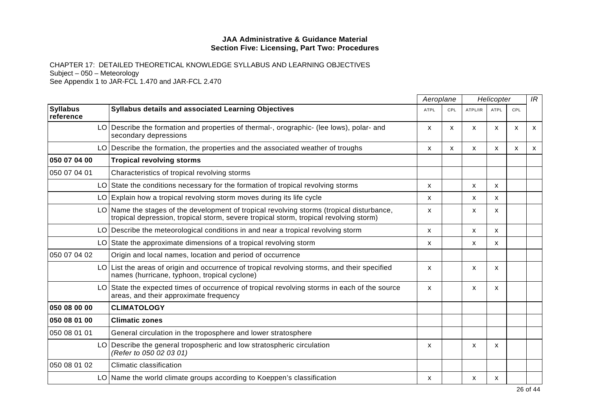|                              |                                                                                                                                                                                    | Aeroplane    |     | Helicopter   |              |              | IR                        |
|------------------------------|------------------------------------------------------------------------------------------------------------------------------------------------------------------------------------|--------------|-----|--------------|--------------|--------------|---------------------------|
| <b>Syllabus</b><br>reference | <b>Syllabus details and associated Learning Objectives</b>                                                                                                                         | <b>ATPL</b>  | CPL | ATPL/IR      | ATPL         | CPL          |                           |
|                              | LO Describe the formation and properties of thermal-, orographic- (lee lows), polar- and<br>secondary depressions                                                                  | X            | X   | X            | X            | $\mathsf{x}$ | X                         |
|                              | LO Describe the formation, the properties and the associated weather of troughs                                                                                                    | $\mathsf{x}$ | X   | $\mathsf{x}$ | X            | X            | $\boldsymbol{\mathsf{x}}$ |
| 050 07 04 00                 | <b>Tropical revolving storms</b>                                                                                                                                                   |              |     |              |              |              |                           |
| 050 07 04 01                 | Characteristics of tropical revolving storms                                                                                                                                       |              |     |              |              |              |                           |
|                              | LO State the conditions necessary for the formation of tropical revolving storms                                                                                                   | X            |     | X            | $\mathsf{x}$ |              |                           |
|                              | LO Explain how a tropical revolving storm moves during its life cycle                                                                                                              | x            |     | X            | X            |              |                           |
|                              | LO Name the stages of the development of tropical revolving storms (tropical disturbance,<br>tropical depression, tropical storm, severe tropical storm, tropical revolving storm) | X            |     | X            | X            |              |                           |
|                              | LO Describe the meteorological conditions in and near a tropical revolving storm                                                                                                   | x            |     | X            | X            |              |                           |
|                              | LO State the approximate dimensions of a tropical revolving storm                                                                                                                  | x            |     | X            | X            |              |                           |
| 050 07 04 02                 | Origin and local names, location and period of occurrence                                                                                                                          |              |     |              |              |              |                           |
|                              | LO List the areas of origin and occurrence of tropical revolving storms, and their specified<br>names (hurricane, typhoon, tropical cyclone)                                       | $\mathsf{x}$ |     | X            | X            |              |                           |
|                              | LO State the expected times of occurrence of tropical revolving storms in each of the source<br>areas, and their approximate frequency                                             | X            |     | X            | X            |              |                           |
| 050 08 00 00                 | <b>CLIMATOLOGY</b>                                                                                                                                                                 |              |     |              |              |              |                           |
| 050 08 01 00                 | <b>Climatic zones</b>                                                                                                                                                              |              |     |              |              |              |                           |
| 050 08 01 01                 | General circulation in the troposphere and lower stratosphere                                                                                                                      |              |     |              |              |              |                           |
|                              | LO Describe the general tropospheric and low stratospheric circulation<br>(Refer to 050 02 03 01)                                                                                  | x            |     | X            | X            |              |                           |
| 050 08 01 02                 | Climatic classification                                                                                                                                                            |              |     |              |              |              |                           |
|                              | LO Name the world climate groups according to Koeppen's classification                                                                                                             | x            |     | x            | x            |              |                           |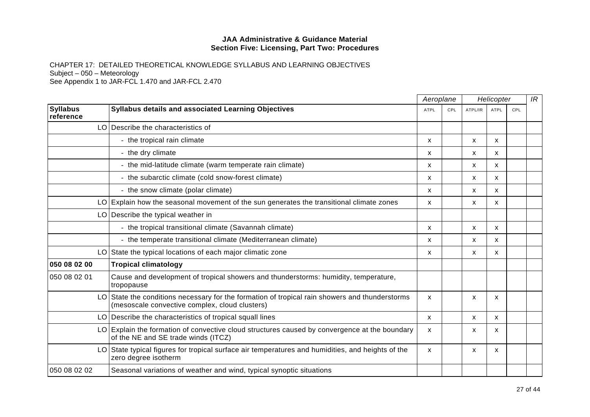|                              |                                                                                                                                                  |             | Aeroplane  |              | Helicopter  |     |  |
|------------------------------|--------------------------------------------------------------------------------------------------------------------------------------------------|-------------|------------|--------------|-------------|-----|--|
| <b>Syllabus</b><br>reference | <b>Syllabus details and associated Learning Objectives</b>                                                                                       | <b>ATPL</b> | <b>CPL</b> | ATPL/IR      | <b>ATPL</b> | CPL |  |
|                              | LO Describe the characteristics of                                                                                                               |             |            |              |             |     |  |
|                              | - the tropical rain climate                                                                                                                      | x           |            | X            | x           |     |  |
|                              | - the dry climate                                                                                                                                | X           |            | X            | X           |     |  |
|                              | - the mid-latitude climate (warm temperate rain climate)                                                                                         | X           |            | X            | x           |     |  |
|                              | - the subarctic climate (cold snow-forest climate)                                                                                               | X           |            | x            | X           |     |  |
|                              | - the snow climate (polar climate)                                                                                                               | X           |            | $\mathsf{x}$ | X           |     |  |
|                              | LO Explain how the seasonal movement of the sun generates the transitional climate zones                                                         | x           |            | $\mathsf{x}$ | X           |     |  |
|                              | LO Describe the typical weather in                                                                                                               |             |            |              |             |     |  |
|                              | - the tropical transitional climate (Savannah climate)                                                                                           | X           |            | X            | X           |     |  |
|                              | - the temperate transitional climate (Mediterranean climate)                                                                                     | X           |            | X            | X           |     |  |
|                              | LO State the typical locations of each major climatic zone                                                                                       | X           |            | $\mathsf{x}$ | X           |     |  |
| 050 08 02 00                 | <b>Tropical climatology</b>                                                                                                                      |             |            |              |             |     |  |
| 050 08 02 01                 | Cause and development of tropical showers and thunderstorms: humidity, temperature,<br>tropopause                                                |             |            |              |             |     |  |
|                              | LO State the conditions necessary for the formation of tropical rain showers and thunderstorms<br>(mesoscale convective complex, cloud clusters) | X           |            | X            | X           |     |  |
|                              | LO Describe the characteristics of tropical squall lines                                                                                         | X           |            | X            | X           |     |  |
|                              | LO Explain the formation of convective cloud structures caused by convergence at the boundary<br>of the NE and SE trade winds (ITCZ)             | X           |            | X            | X           |     |  |
|                              | LO State typical figures for tropical surface air temperatures and humidities, and heights of the<br>zero degree isotherm                        | X           |            | X            | X           |     |  |
| 050 08 02 02                 | Seasonal variations of weather and wind, typical synoptic situations                                                                             |             |            |              |             |     |  |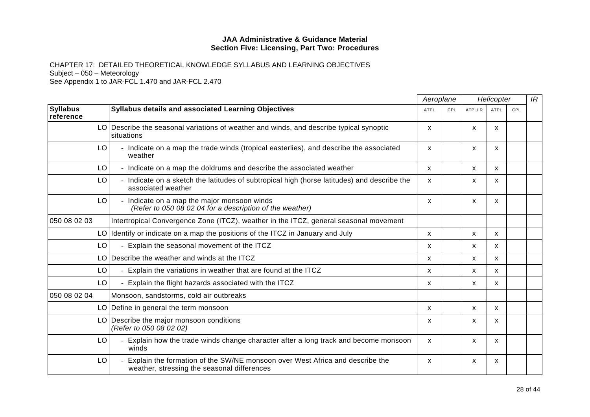|                              |                                                                                                                             | Aeroplane   |     | Helicopter |              |     | IR |
|------------------------------|-----------------------------------------------------------------------------------------------------------------------------|-------------|-----|------------|--------------|-----|----|
| <b>Syllabus</b><br>reference | Syllabus details and associated Learning Objectives                                                                         | <b>ATPL</b> | CPL | ATPL/IR    | <b>ATPL</b>  | CPL |    |
|                              | LO Describe the seasonal variations of weather and winds, and describe typical synoptic<br>situations                       | X           |     | X          | X            |     |    |
| LO                           | - Indicate on a map the trade winds (tropical easterlies), and describe the associated<br>weather                           | X           |     | X          | X            |     |    |
| LO                           | - Indicate on a map the doldrums and describe the associated weather                                                        | X           |     | X          | $\mathsf{x}$ |     |    |
| LO                           | - Indicate on a sketch the latitudes of subtropical high (horse latitudes) and describe the<br>associated weather           | X           |     | X          | X            |     |    |
| LO                           | - Indicate on a map the major monsoon winds<br>(Refer to 050 08 02 04 for a description of the weather)                     | X           |     | X          | $\mathsf{x}$ |     |    |
| 050 08 02 03                 | Intertropical Convergence Zone (ITCZ), weather in the ITCZ, general seasonal movement                                       |             |     |            |              |     |    |
|                              | LO Identify or indicate on a map the positions of the ITCZ in January and July                                              | X           |     | X          | $\mathsf{x}$ |     |    |
| LO                           | Explain the seasonal movement of the ITCZ                                                                                   | x           |     | X          | $\mathsf{x}$ |     |    |
|                              | LO Describe the weather and winds at the ITCZ                                                                               | X           |     | X          | $\mathsf{x}$ |     |    |
| LO                           | Explain the variations in weather that are found at the ITCZ<br>$\overline{\phantom{0}}$                                    | X           |     | X          | X            |     |    |
| LO                           | - Explain the flight hazards associated with the ITCZ                                                                       | X           |     | X          | $\mathsf{x}$ |     |    |
| 050 08 02 04                 | Monsoon, sandstorms, cold air outbreaks                                                                                     |             |     |            |              |     |    |
|                              | LO Define in general the term monsoon                                                                                       | X           |     | X          | X            |     |    |
|                              | LO Describe the major monsoon conditions<br>(Refer to 050 08 02 02)                                                         | x           |     | X          | X            |     |    |
| LO                           | - Explain how the trade winds change character after a long track and become monsoon<br>winds                               | X           |     | X          | X            |     |    |
| LO                           | Explain the formation of the SW/NE monsoon over West Africa and describe the<br>weather, stressing the seasonal differences | X           |     | X          | X            |     |    |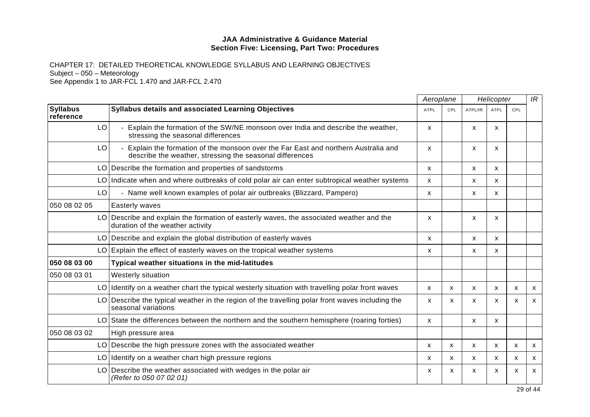|                              |                                                                                                                                               | Aeroplane   |              | Helicopter |                           | IR                        |    |
|------------------------------|-----------------------------------------------------------------------------------------------------------------------------------------------|-------------|--------------|------------|---------------------------|---------------------------|----|
| <b>Syllabus</b><br>reference | Syllabus details and associated Learning Objectives                                                                                           | <b>ATPL</b> | CPL          | ATPL/IR    | <b>ATPL</b>               | CPL                       |    |
| LO                           | Explain the formation of the SW/NE monsoon over India and describe the weather,<br>stressing the seasonal differences                         | X           |              | X          | X                         |                           |    |
| LO                           | Explain the formation of the monsoon over the Far East and northern Australia and<br>describe the weather, stressing the seasonal differences | X.          |              | X          | X                         |                           |    |
| LO.                          | Describe the formation and properties of sandstorms                                                                                           | X           |              | X          | X                         |                           |    |
|                              | LO Indicate when and where outbreaks of cold polar air can enter subtropical weather systems                                                  | X           |              | X          | X                         |                           |    |
| LO                           | - Name well known examples of polar air outbreaks (Blizzard, Pampero)                                                                         | X           |              | X          | $\boldsymbol{\mathsf{x}}$ |                           |    |
| 050 08 02 05                 | Easterly waves                                                                                                                                |             |              |            |                           |                           |    |
| LO                           | Describe and explain the formation of easterly waves, the associated weather and the<br>duration of the weather activity                      | X           |              | X          | X                         |                           |    |
| LO.                          | Describe and explain the global distribution of easterly waves                                                                                | X           |              | X          | X                         |                           |    |
|                              | LO Explain the effect of easterly waves on the tropical weather systems                                                                       | X.          |              | X          | X                         |                           |    |
| 050 08 03 00                 | Typical weather situations in the mid-latitudes                                                                                               |             |              |            |                           |                           |    |
| 050 08 03 01                 | Westerly situation                                                                                                                            |             |              |            |                           |                           |    |
| LO                           | Identify on a weather chart the typical westerly situation with travelling polar front waves                                                  | X           | $\mathsf{x}$ | X          | $\boldsymbol{\mathsf{x}}$ | X                         | X  |
| LO                           | Describe the typical weather in the region of the travelling polar front waves including the<br>seasonal variations                           | X           | X            | X          | X                         | X                         | X  |
|                              | LO State the differences between the northern and the southern hemisphere (roaring forties)                                                   | X           |              | X          | $\boldsymbol{\mathsf{x}}$ |                           |    |
| 050 08 03 02                 | High pressure area                                                                                                                            |             |              |            |                           |                           |    |
| LO.                          | Describe the high pressure zones with the associated weather                                                                                  | X           | X            | x          | X                         | X                         | X  |
| LO.                          | Identify on a weather chart high pressure regions                                                                                             | X           | X            | X          | X                         | $\boldsymbol{\mathsf{x}}$ | X  |
|                              | LO Describe the weather associated with wedges in the polar air<br>(Refer to 050 07 02 01)                                                    | X           | x            | x          | X                         | x                         | X. |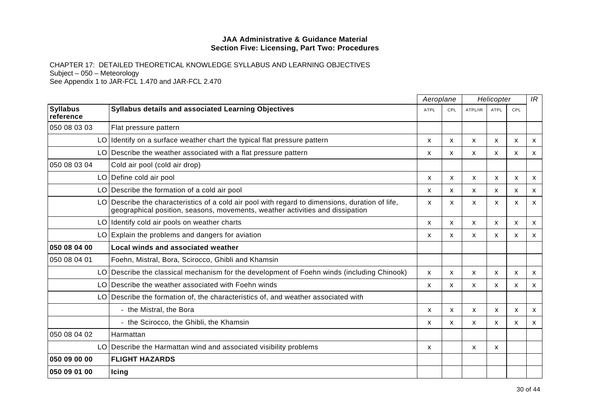|                              |                                                                                                                                                                               | Aeroplane                 |              | Helicopter |                           |              | IR |
|------------------------------|-------------------------------------------------------------------------------------------------------------------------------------------------------------------------------|---------------------------|--------------|------------|---------------------------|--------------|----|
| <b>Syllabus</b><br>reference | Syllabus details and associated Learning Objectives                                                                                                                           | <b>ATPL</b>               | <b>CPL</b>   | ATPL/IR    | <b>ATPL</b>               | CPL          |    |
| 050 08 03 03                 | Flat pressure pattern                                                                                                                                                         |                           |              |            |                           |              |    |
|                              | LO Identify on a surface weather chart the typical flat pressure pattern                                                                                                      | х                         | X            | X          | x                         | x            | X  |
| LO.                          | Describe the weather associated with a flat pressure pattern                                                                                                                  | X                         | $\mathsf{x}$ | X          | X                         | X            | X  |
| 050 08 03 04                 | Cold air pool (cold air drop)                                                                                                                                                 |                           |              |            |                           |              |    |
|                              | LO Define cold air pool                                                                                                                                                       | X                         | X            | X          | $\mathsf{x}$              | X            | X  |
| LO.                          | Describe the formation of a cold air pool                                                                                                                                     | X                         | X            | X          | X                         | X            | X  |
| LO.                          | Describe the characteristics of a cold air pool with regard to dimensions, duration of life,<br>geographical position, seasons, movements, weather activities and dissipation | X                         | X            | X          | X                         | $\mathsf{x}$ | X  |
|                              | LO Identify cold air pools on weather charts                                                                                                                                  | X                         | X            | X          | X                         | X            | X  |
|                              | LO Explain the problems and dangers for aviation                                                                                                                              | x                         | X            | X          | X                         | X            | X  |
| 050 08 04 00                 | Local winds and associated weather                                                                                                                                            |                           |              |            |                           |              |    |
| 050 08 04 01                 | Foehn, Mistral, Bora, Scirocco, Ghibli and Khamsin                                                                                                                            |                           |              |            |                           |              |    |
| LO.                          | Describe the classical mechanism for the development of Foehn winds (including Chinook)                                                                                       | $\boldsymbol{\mathsf{x}}$ | X            | X          | x                         | X            | X  |
| LO                           | Describe the weather associated with Foehn winds                                                                                                                              | X                         | X            | X          | X                         | x            | X  |
| LO                           | Describe the formation of, the characteristics of, and weather associated with                                                                                                |                           |              |            |                           |              |    |
|                              | - the Mistral, the Bora                                                                                                                                                       | x                         | X            | X          | $\mathsf{x}$              | $\mathsf{x}$ | X  |
|                              | - the Scirocco, the Ghibli, the Khamsin                                                                                                                                       | X                         | X            | X          | X                         | X            | X  |
| 050 08 04 02                 | Harmattan                                                                                                                                                                     |                           |              |            |                           |              |    |
| LO.                          | Describe the Harmattan wind and associated visibility problems                                                                                                                | X                         |              | X          | $\boldsymbol{\mathsf{x}}$ |              |    |
| 050 09 00 00                 | <b>FLIGHT HAZARDS</b>                                                                                                                                                         |                           |              |            |                           |              |    |
| 050 09 01 00                 | <b>Icing</b>                                                                                                                                                                  |                           |              |            |                           |              |    |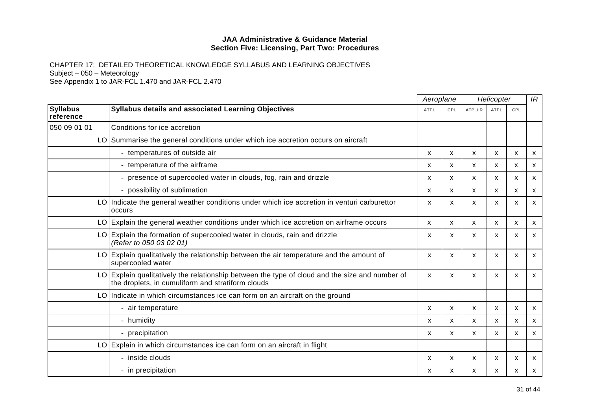|                              |                                                                                                                                                     |             | Aeroplane    |         | Helicopter                |              |              |
|------------------------------|-----------------------------------------------------------------------------------------------------------------------------------------------------|-------------|--------------|---------|---------------------------|--------------|--------------|
| <b>Syllabus</b><br>reference | <b>Syllabus details and associated Learning Objectives</b>                                                                                          | <b>ATPL</b> | CPL          | ATPL/IR | <b>ATPL</b>               | CPL          |              |
| 050 09 01 01                 | Conditions for ice accretion                                                                                                                        |             |              |         |                           |              |              |
|                              | LO Summarise the general conditions under which ice accretion occurs on aircraft                                                                    |             |              |         |                           |              |              |
|                              | - temperatures of outside air                                                                                                                       | X           | X            | X       | X                         | X            | X            |
|                              | - temperature of the airframe                                                                                                                       | х           | X            | X       | x                         | X            | X            |
|                              | - presence of supercooled water in clouds, fog, rain and drizzle                                                                                    | X           | X            | X       | X                         | X            | X            |
|                              | - possibility of sublimation                                                                                                                        | X           | $\mathsf{x}$ | X       | X                         | $\mathsf{x}$ | X            |
|                              | LO Indicate the general weather conditions under which ice accretion in venturi carburettor<br>occurs                                               | X           | X            | X       | $\mathsf{x}$              | X            | X            |
|                              | LO Explain the general weather conditions under which ice accretion on airframe occurs                                                              | X           | X            | X       | X                         | X            | X            |
|                              | LO Explain the formation of supercooled water in clouds, rain and drizzle<br>(Refer to 050 03 02 01)                                                | x           | X            | X       | $\boldsymbol{\mathsf{x}}$ | $\mathsf{x}$ | X            |
|                              | LO Explain qualitatively the relationship between the air temperature and the amount of<br>supercooled water                                        | X           | $\mathsf{x}$ | X       | $\mathsf{x}$              | $\mathsf{x}$ | $\mathsf{x}$ |
|                              | LO Explain qualitatively the relationship between the type of cloud and the size and number of<br>the droplets, in cumuliform and stratiform clouds | X           | X            | X       | X                         | X            | X            |
|                              | LO Indicate in which circumstances ice can form on an aircraft on the ground                                                                        |             |              |         |                           |              |              |
|                              | - air temperature                                                                                                                                   | X           | $\mathsf{x}$ | X       | $\mathsf{x}$              | $\mathsf{x}$ | X            |
|                              | - humidity                                                                                                                                          | X           | X.           | X       | X                         | X            | X            |
|                              | - precipitation                                                                                                                                     | X           | X            | X       | X                         | X            | X            |
|                              | LO Explain in which circumstances ice can form on an aircraft in flight                                                                             |             |              |         |                           |              |              |
|                              | - inside clouds                                                                                                                                     | x           | X            | X       | X                         | х            | X            |
|                              | - in precipitation                                                                                                                                  | X           | X            | X       | $\boldsymbol{\mathsf{x}}$ | $\mathsf{x}$ | X            |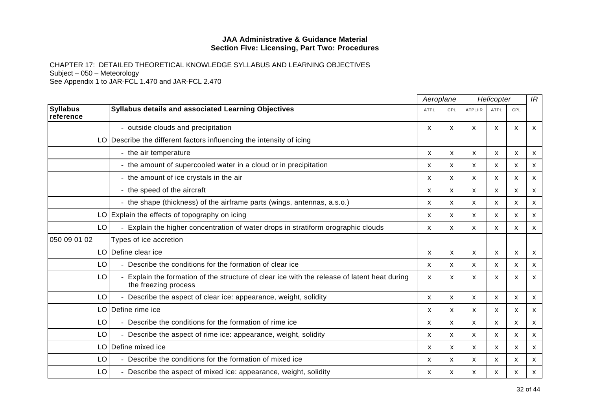|                              |                                                                                                                    | Aeroplane |              | Helicopter   |                           |                           | IR |
|------------------------------|--------------------------------------------------------------------------------------------------------------------|-----------|--------------|--------------|---------------------------|---------------------------|----|
| <b>Syllabus</b><br>reference | Syllabus details and associated Learning Objectives                                                                | ATPL      | CPL          | ATPL/IR      | ATPL                      | CPL                       |    |
|                              | - outside clouds and precipitation                                                                                 | X         | X            | X            | X                         | X                         | X  |
|                              | LO Describe the different factors influencing the intensity of icing                                               |           |              |              |                           |                           |    |
|                              | - the air temperature                                                                                              | X         | $\mathsf{x}$ | X            | $\mathsf{x}$              | $\boldsymbol{\mathsf{x}}$ | X  |
|                              | - the amount of supercooled water in a cloud or in precipitation                                                   | x         | X            | X            | X                         | X                         | X  |
|                              | - the amount of ice crystals in the air                                                                            | x         | X            | X            | X                         | X                         | X  |
|                              | - the speed of the aircraft                                                                                        | x         | X            | X            | X                         | X                         | X  |
|                              | - the shape (thickness) of the airframe parts (wings, antennas, a.s.o.)                                            | X         | X            | X            | X                         | X                         | X  |
|                              | $LO$ Explain the effects of topography on icing                                                                    | x         | X            | X            | $\boldsymbol{\mathsf{x}}$ | X                         | X  |
| LO                           | Explain the higher concentration of water drops in stratiform orographic clouds                                    | x         | $\mathsf{x}$ | X            | X                         | X                         | x  |
| 050 09 01 02                 | Types of ice accretion                                                                                             |           |              |              |                           |                           |    |
| LO.                          | Define clear ice                                                                                                   | X         | $\mathsf{x}$ | X            | X                         | $\boldsymbol{\mathsf{x}}$ | X  |
| LO.                          | Describe the conditions for the formation of clear ice                                                             | X         | X            | X            | X                         | $\boldsymbol{\mathsf{x}}$ | X  |
| LO                           | Explain the formation of the structure of clear ice with the release of latent heat during<br>the freezing process | x         | X            | X            | X                         | X                         | X  |
| LO                           | Describe the aspect of clear ice: appearance, weight, solidity                                                     | X         | $\mathsf{x}$ | $\mathsf{x}$ | $\mathsf{x}$              | X                         | X  |
| LO.                          | Define rime ice                                                                                                    | x         | X            | X            | X                         | X                         | X  |
| LO                           | Describe the conditions for the formation of rime ice                                                              | X         | X            | X            | $\mathsf{x}$              | X                         | X  |
| LO                           | Describe the aspect of rime ice: appearance, weight, solidity                                                      | x         | X            | X            | X                         | X                         | X  |
| LO                           | Define mixed ice                                                                                                   | X         | X            | X            | X                         | X                         | X  |
| LO                           | Describe the conditions for the formation of mixed ice                                                             | x         | X            | X            | $\boldsymbol{\mathsf{x}}$ | X                         | x  |
| LO                           | Describe the aspect of mixed ice: appearance, weight, solidity                                                     | х         | x            | x            | х                         | х                         | X  |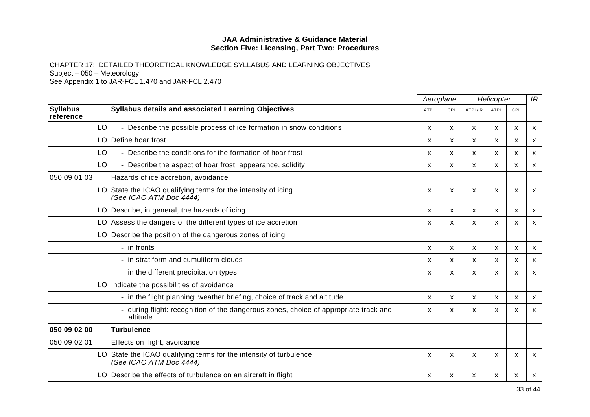|                              |                                                                                                | Aeroplane   |     | Helicopter                |                           |              | IR                        |
|------------------------------|------------------------------------------------------------------------------------------------|-------------|-----|---------------------------|---------------------------|--------------|---------------------------|
| <b>Syllabus</b><br>reference | Syllabus details and associated Learning Objectives                                            | <b>ATPL</b> | CPL | ATPL/IR                   | <b>ATPL</b>               | CPL          |                           |
| LO                           | Describe the possible process of ice formation in snow conditions                              | X           | X   | X                         | X                         | $\mathsf{x}$ | $\mathsf{x}$              |
| LO.                          | Define hoar frost                                                                              | х           | x   | X                         | х                         | х            | X                         |
| LO                           | Describe the conditions for the formation of hoar frost                                        | x           | X   | X                         | X                         | X            | $\mathsf{x}$              |
| LO                           | Describe the aspect of hoar frost: appearance, solidity                                        | x           | X   | $\boldsymbol{\mathsf{X}}$ | X                         | X            | X                         |
| 050 09 01 03                 | Hazards of ice accretion, avoidance                                                            |             |     |                           |                           |              |                           |
|                              | LO State the ICAO qualifying terms for the intensity of icing<br>(See ICAO ATM Doc 4444)       | X           | X   | X                         | $\boldsymbol{\mathsf{x}}$ | X            | X                         |
|                              | LO Describe, in general, the hazards of icing                                                  | x           | x   | x                         | X                         | х            | $\boldsymbol{\mathsf{x}}$ |
|                              | LO Assess the dangers of the different types of ice accretion                                  | X           | X   | $\mathsf{x}$              | X                         | X            | $\mathsf{x}$              |
| LO.                          | Describe the position of the dangerous zones of icing                                          |             |     |                           |                           |              |                           |
|                              | - in fronts                                                                                    | X           | X   | $\mathsf{x}$              | $\boldsymbol{\mathsf{x}}$ | X            | $\mathsf{x}$              |
|                              | - in stratiform and cumuliform clouds                                                          | X           | X   | x                         | х                         | X            | $\boldsymbol{\mathsf{x}}$ |
|                              | - in the different precipitation types                                                         | X           | X   | $\mathsf{x}$              | X                         | X            | $\mathsf{x}$              |
|                              | LO Indicate the possibilities of avoidance                                                     |             |     |                           |                           |              |                           |
|                              | - in the flight planning: weather briefing, choice of track and altitude                       | X           | x   | X                         | X                         | X            | $\boldsymbol{\mathsf{x}}$ |
|                              | during flight: recognition of the dangerous zones, choice of appropriate track and<br>altitude | x           | X   | X                         | x                         | x            | $\boldsymbol{\mathsf{x}}$ |
| 050 09 02 00                 | <b>Turbulence</b>                                                                              |             |     |                           |                           |              |                           |
| 050 09 02 01                 | Effects on flight, avoidance                                                                   |             |     |                           |                           |              |                           |
|                              | LO State the ICAO qualifying terms for the intensity of turbulence<br>(See ICAO ATM Doc 4444)  | X           | X   | X                         | X                         | X            | X                         |
|                              | LO Describe the effects of turbulence on an aircraft in flight                                 | x           | x   | x                         | х                         | х            | X                         |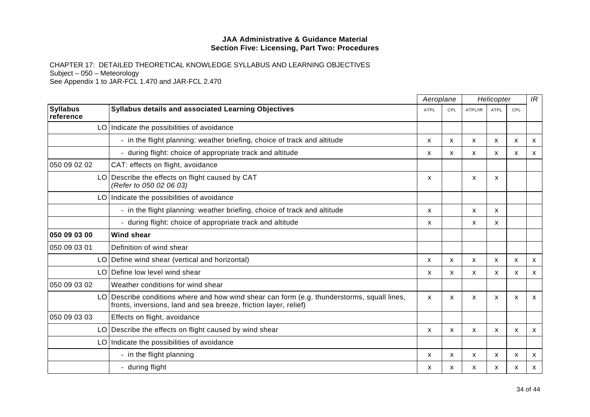|                              |                                                                                                                                                                 |             | Aeroplane    |         | Helicopter                |                           | IR           |
|------------------------------|-----------------------------------------------------------------------------------------------------------------------------------------------------------------|-------------|--------------|---------|---------------------------|---------------------------|--------------|
| <b>Syllabus</b><br>reference | Syllabus details and associated Learning Objectives                                                                                                             | <b>ATPL</b> | CPL          | ATPL/IR | <b>ATPL</b>               | CPL                       |              |
|                              | LO Indicate the possibilities of avoidance                                                                                                                      |             |              |         |                           |                           |              |
|                              | - in the flight planning: weather briefing, choice of track and altitude                                                                                        | X           | X            | X       | $\boldsymbol{\mathsf{x}}$ | $\boldsymbol{\mathsf{x}}$ | X            |
|                              | - during flight: choice of appropriate track and altitude                                                                                                       | x           | $\mathsf{x}$ | X       | X                         | X                         | X            |
| 050 09 02 02                 | CAT: effects on flight, avoidance                                                                                                                               |             |              |         |                           |                           |              |
|                              | LO Describe the effects on flight caused by CAT<br>(Refer to 050 02 06 03)                                                                                      | X           |              | X       | X                         |                           |              |
|                              | LO Indicate the possibilities of avoidance                                                                                                                      |             |              |         |                           |                           |              |
|                              | - in the flight planning: weather briefing, choice of track and altitude                                                                                        | X           |              | X       | X                         |                           |              |
|                              | - during flight: choice of appropriate track and altitude                                                                                                       | X           |              | X       | X                         |                           |              |
| 050 09 03 00                 | <b>Wind shear</b>                                                                                                                                               |             |              |         |                           |                           |              |
| 050 09 03 01                 | Definition of wind shear                                                                                                                                        |             |              |         |                           |                           |              |
|                              | LO Define wind shear (vertical and horizontal)                                                                                                                  | X           | X            | X       | $\mathsf{x}$              | $\boldsymbol{\mathsf{x}}$ | X            |
|                              | LO Define low level wind shear                                                                                                                                  | x           | X            | X       | X                         | x                         | x            |
| 050 09 03 02                 | Weather conditions for wind shear                                                                                                                               |             |              |         |                           |                           |              |
|                              | LO Describe conditions where and how wind shear can form (e.g. thunderstorms, squall lines,<br>fronts, inversions, land and sea breeze, friction layer, relief) | X           | X            | X       | $\mathsf{x}$              | $\boldsymbol{\mathsf{x}}$ | $\mathsf{x}$ |
| 050 09 03 03                 | Effects on flight, avoidance                                                                                                                                    |             |              |         |                           |                           |              |
|                              | LO Describe the effects on flight caused by wind shear                                                                                                          | х           | X            | X       | X                         | X                         | X.           |
|                              | LO Indicate the possibilities of avoidance                                                                                                                      |             |              |         |                           |                           |              |
|                              | - in the flight planning                                                                                                                                        | x           | X            | X       | X                         | $\boldsymbol{\mathsf{x}}$ | X            |
|                              | - during flight                                                                                                                                                 | x           | X            | X       | x                         | X                         | X.           |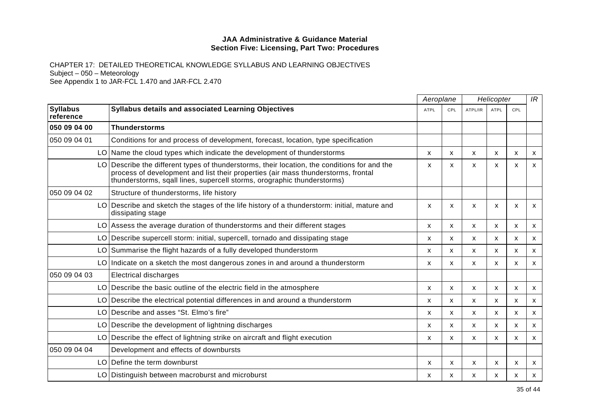|                              |                                                                                                                                                                                                                                                           | Aeroplane   |                           | Helicopter   |                           |              | IR           |
|------------------------------|-----------------------------------------------------------------------------------------------------------------------------------------------------------------------------------------------------------------------------------------------------------|-------------|---------------------------|--------------|---------------------------|--------------|--------------|
| <b>Syllabus</b><br>reference | Syllabus details and associated Learning Objectives                                                                                                                                                                                                       | <b>ATPL</b> | CPL                       | ATPL/IR      | <b>ATPL</b>               | CPL          |              |
| 050 09 04 00                 | <b>Thunderstorms</b>                                                                                                                                                                                                                                      |             |                           |              |                           |              |              |
| 050 09 04 01                 | Conditions for and process of development, forecast, location, type specification                                                                                                                                                                         |             |                           |              |                           |              |              |
|                              | LO Name the cloud types which indicate the development of thunderstorms                                                                                                                                                                                   | X           | X                         | X            | X                         | X            | X            |
|                              | Describe the different types of thunderstorms, their location, the conditions for and the<br>process of development and list their properties (air mass thunderstorms, frontal<br>thunderstorms, sqall lines, supercell storms, orographic thunderstorms) | X           | $\mathsf{x}$              | X            | $\mathsf{x}$              | X            | X            |
| 050 09 04 02                 | Structure of thunderstorms, life history                                                                                                                                                                                                                  |             |                           |              |                           |              |              |
| LO                           | Describe and sketch the stages of the life history of a thunderstorm: initial, mature and<br>dissipating stage                                                                                                                                            | X           | X                         | X            | $\boldsymbol{\mathsf{x}}$ | X            | $\mathsf{x}$ |
|                              | LO Assess the average duration of thunderstorms and their different stages                                                                                                                                                                                | x           | X                         | X            | X                         | X            | X            |
| LO                           | Describe supercell storm: initial, supercell, tornado and dissipating stage                                                                                                                                                                               | X           | $\boldsymbol{\mathsf{x}}$ | $\mathsf{x}$ | X                         | X            | X            |
| LO                           | Summarise the flight hazards of a fully developed thunderstorm                                                                                                                                                                                            | x           | X                         | X            | X                         | X            | X            |
|                              | $LO$ Indicate on a sketch the most dangerous zones in and around a thunderstorm                                                                                                                                                                           | X           | X                         | X            | X                         | X            | X            |
| 050 09 04 03                 | <b>Electrical discharges</b>                                                                                                                                                                                                                              |             |                           |              |                           |              |              |
| LO                           | Describe the basic outline of the electric field in the atmosphere                                                                                                                                                                                        | X           | $\boldsymbol{\mathsf{x}}$ | X            | X                         | X            | X            |
| LO                           | Describe the electrical potential differences in and around a thunderstorm                                                                                                                                                                                | X           | X                         | X            | $\mathsf{x}$              | X            | X            |
| LO                           | Describe and asses "St. Elmo's fire"                                                                                                                                                                                                                      | X           | X                         | X            | X                         | X            | X            |
| LO                           | Describe the development of lightning discharges                                                                                                                                                                                                          | x           | X                         | X            | х                         | X            | X            |
| LO.                          | Describe the effect of lightning strike on aircraft and flight execution                                                                                                                                                                                  | X           | X                         | $\mathsf{x}$ | X                         | X            | $\mathsf{x}$ |
| 050 09 04 04                 | Development and effects of downbursts                                                                                                                                                                                                                     |             |                           |              |                           |              |              |
| LO                           | Define the term downburst                                                                                                                                                                                                                                 | X           | X                         | X            | X                         | $\mathsf{x}$ | X            |
|                              | LO Distinguish between macroburst and microburst                                                                                                                                                                                                          | x           | x                         | X            | x                         | Х            | X            |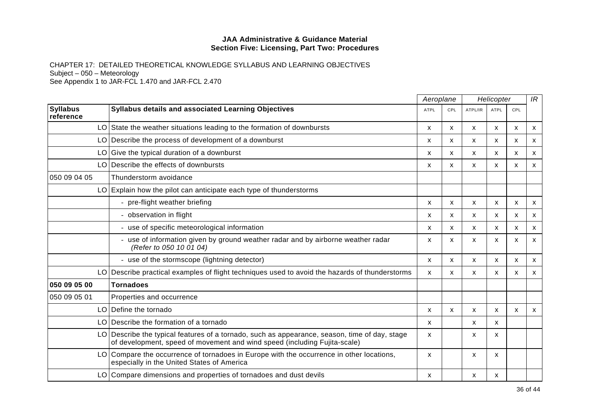|                              |                                                                                                                                                                            | Aeroplane   |     | Helicopter |                           |              | IR                        |
|------------------------------|----------------------------------------------------------------------------------------------------------------------------------------------------------------------------|-------------|-----|------------|---------------------------|--------------|---------------------------|
| <b>Syllabus</b><br>reference | Syllabus details and associated Learning Objectives                                                                                                                        | <b>ATPL</b> | CPL | ATPL/IR    | <b>ATPL</b>               | CPL          |                           |
|                              | LO State the weather situations leading to the formation of downbursts                                                                                                     | X           | X   | X          | X                         | X            | $\boldsymbol{\mathsf{x}}$ |
| LO                           | Describe the process of development of a downburst                                                                                                                         | x           | X   | X          | X                         | х            | X                         |
| LO                           | Give the typical duration of a downburst                                                                                                                                   | X           | X   | X          | X                         | X            | X                         |
| LO                           | Describe the effects of downbursts                                                                                                                                         | X           | X   | X          | X                         | X            | X                         |
| 050 09 04 05                 | Thunderstorm avoidance                                                                                                                                                     |             |     |            |                           |              |                           |
| LO.                          | Explain how the pilot can anticipate each type of thunderstorms                                                                                                            |             |     |            |                           |              |                           |
|                              | pre-flight weather briefing                                                                                                                                                | x           | X   | X          | X                         | х            | X                         |
|                              | - observation in flight                                                                                                                                                    | X           | X   | X          | $\boldsymbol{\mathsf{x}}$ | X            | X                         |
|                              | - use of specific meteorological information                                                                                                                               | x           | X   | X          | X                         | X            | X                         |
|                              | - use of information given by ground weather radar and by airborne weather radar<br>(Refer to 050 10 01 04)                                                                | X           | X   | X          | $\boldsymbol{\mathsf{x}}$ | X            | X                         |
|                              | - use of the stormscope (lightning detector)                                                                                                                               | x           | X   | X          | X                         | X            | X                         |
| LO                           | Describe practical examples of flight techniques used to avoid the hazards of thunderstorms                                                                                | X           | X   | X          | $\mathsf{x}$              | $\mathsf{x}$ | X                         |
| 050 09 05 00                 | <b>Tornadoes</b>                                                                                                                                                           |             |     |            |                           |              |                           |
| 050 09 05 01                 | Properties and occurrence                                                                                                                                                  |             |     |            |                           |              |                           |
| LO.                          | Define the tornado                                                                                                                                                         | x           | X   | X          | X                         | х            | X                         |
| LO                           | Describe the formation of a tornado                                                                                                                                        | X           |     | X          | $\mathsf{x}$              |              |                           |
|                              | LO Describe the typical features of a tornado, such as appearance, season, time of day, stage<br>of development, speed of movement and wind speed (including Fujita-scale) | X           |     | X          | X                         |              |                           |
| LO.                          | Compare the occurrence of tornadoes in Europe with the occurrence in other locations,<br>especially in the United States of America                                        | x           |     | x          | X                         |              |                           |
|                              | LO Compare dimensions and properties of tornadoes and dust devils                                                                                                          | x           |     | x          | X                         |              |                           |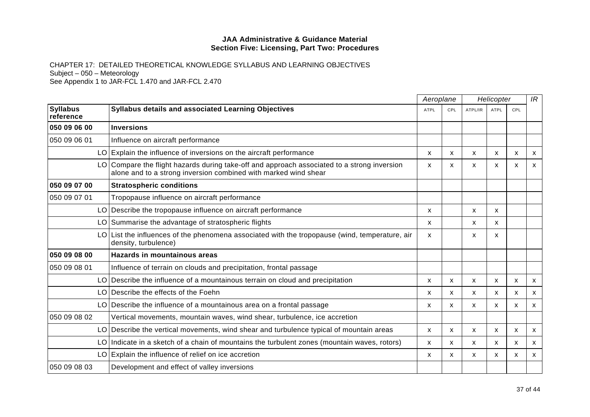|                              |                                                                                                                                                                | Aeroplane    |              | Helicopter |                           |              | IR           |
|------------------------------|----------------------------------------------------------------------------------------------------------------------------------------------------------------|--------------|--------------|------------|---------------------------|--------------|--------------|
| <b>Syllabus</b><br>reference | <b>Syllabus details and associated Learning Objectives</b>                                                                                                     | <b>ATPL</b>  | CPL          | ATPL/IR    | <b>ATPL</b>               | CPL          |              |
| 050 09 06 00                 | <b>Inversions</b>                                                                                                                                              |              |              |            |                           |              |              |
| 050 09 06 01                 | Influence on aircraft performance                                                                                                                              |              |              |            |                           |              |              |
| LO.                          | Explain the influence of inversions on the aircraft performance                                                                                                | X            | X            | X          | $\boldsymbol{\mathsf{x}}$ | $\mathsf{x}$ | X            |
|                              | LO Compare the flight hazards during take-off and approach associated to a strong inversion<br>alone and to a strong inversion combined with marked wind shear | x            | X.           | X          | X                         | х            | x            |
| 050 09 07 00                 | <b>Stratospheric conditions</b>                                                                                                                                |              |              |            |                           |              |              |
| 050 09 07 01                 | Tropopause influence on aircraft performance                                                                                                                   |              |              |            |                           |              |              |
|                              | LO Describe the tropopause influence on aircraft performance                                                                                                   | x            |              | X          | X                         |              |              |
|                              | LO Summarise the advantage of stratospheric flights                                                                                                            | x            |              | x          | X                         |              |              |
| LO                           | List the influences of the phenomena associated with the tropopause (wind, temperature, air<br>density, turbulence)                                            | x            |              | X          | X                         |              |              |
| 050 09 08 00                 | <b>Hazards in mountainous areas</b>                                                                                                                            |              |              |            |                           |              |              |
| 050 09 08 01                 | Influence of terrain on clouds and precipitation, frontal passage                                                                                              |              |              |            |                           |              |              |
| LO.                          | Describe the influence of a mountainous terrain on cloud and precipitation                                                                                     | X            | X            | X          | $\mathsf{x}$              | X            | $\mathsf{x}$ |
| LO                           | Describe the effects of the Foehn                                                                                                                              | x            | X            | X          | X                         | X            | X            |
| LO.                          | Describe the influence of a mountainous area on a frontal passage                                                                                              | X            | $\mathsf{x}$ | X          | $\mathsf{x}$              | X            | $\mathsf{x}$ |
| 050 09 08 02                 | Vertical movements, mountain waves, wind shear, turbulence, ice accretion                                                                                      |              |              |            |                           |              |              |
| LO.                          | Describe the vertical movements, wind shear and turbulence typical of mountain areas                                                                           | X            | X            | X          | X                         | X            | X            |
| LO                           | Indicate in a sketch of a chain of mountains the turbulent zones (mountain waves, rotors)                                                                      | $\mathsf{x}$ | $\mathsf{x}$ | X          | $\mathsf{x}$              | X            | X            |
|                              | LO Explain the influence of relief on ice accretion                                                                                                            | X            | X            | X          | X                         | X            | $\mathsf{x}$ |
| 050 09 08 03                 | Development and effect of valley inversions                                                                                                                    |              |              |            |                           |              |              |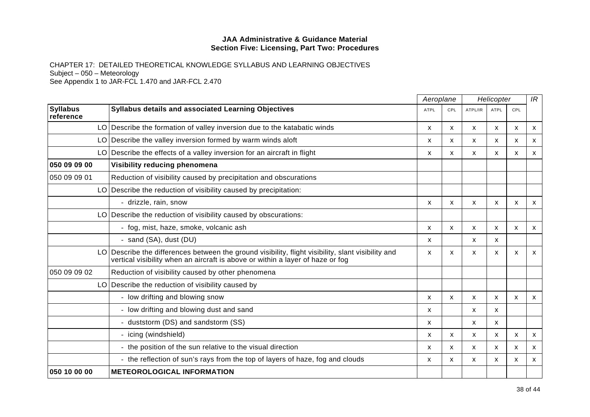|                              |                                                                                                                                                                                   | Aeroplane |     | Helicopter                |                           |                           | IR                        |
|------------------------------|-----------------------------------------------------------------------------------------------------------------------------------------------------------------------------------|-----------|-----|---------------------------|---------------------------|---------------------------|---------------------------|
| <b>Syllabus</b><br>reference | Syllabus details and associated Learning Objectives                                                                                                                               | ATPL      | CPL | ATPL/IR                   | <b>ATPL</b>               | CPL                       |                           |
|                              | LO Describe the formation of valley inversion due to the katabatic winds                                                                                                          | X         | x   | X                         | х                         | X                         | $\boldsymbol{\mathsf{x}}$ |
|                              | LO Describe the valley inversion formed by warm winds aloft                                                                                                                       | X         | X   | X                         | X                         | $\mathsf{x}$              | $\boldsymbol{\mathsf{x}}$ |
|                              | $LO$ Describe the effects of a valley inversion for an aircraft in flight                                                                                                         | X         | X   | X                         | X                         | X                         | X                         |
| 050 09 09 00                 | Visibility reducing phenomena                                                                                                                                                     |           |     |                           |                           |                           |                           |
| 050 09 09 01                 | Reduction of visibility caused by precipitation and obscurations                                                                                                                  |           |     |                           |                           |                           |                           |
| LO I                         | Describe the reduction of visibility caused by precipitation:                                                                                                                     |           |     |                           |                           |                           |                           |
|                              | - drizzle, rain, snow                                                                                                                                                             | X         | X   | $\mathsf{x}$              | X                         | $\boldsymbol{\mathsf{x}}$ | $\mathsf{x}$              |
|                              | LO Describe the reduction of visibility caused by obscurations:                                                                                                                   |           |     |                           |                           |                           |                           |
|                              | - fog, mist, haze, smoke, volcanic ash                                                                                                                                            | X         | X   | X                         | $\mathsf{x}$              | $\mathsf{x}$              | $\mathsf{x}$              |
|                              | - sand (SA), dust (DU)                                                                                                                                                            | X         |     | X                         | X                         |                           |                           |
| LO.                          | Describe the differences between the ground visibility, flight visibility, slant visibility and<br>vertical visibility when an aircraft is above or within a layer of haze or fog | X         | X   | X                         | X                         | $\boldsymbol{\mathsf{x}}$ | $\mathsf{x}$              |
| 050 09 09 02                 | Reduction of visibility caused by other phenomena                                                                                                                                 |           |     |                           |                           |                           |                           |
|                              | LO Describe the reduction of visibility caused by                                                                                                                                 |           |     |                           |                           |                           |                           |
|                              | - low drifting and blowing snow                                                                                                                                                   | X         | X   | $\mathsf{x}$              | X                         | X                         | $\mathsf{x}$              |
|                              | - low drifting and blowing dust and sand                                                                                                                                          | x         |     | $\mathsf{x}$              | X                         |                           |                           |
|                              | - duststorm (DS) and sandstorm (SS)                                                                                                                                               | X         |     | X                         | $\boldsymbol{\mathsf{x}}$ |                           |                           |
|                              | - icing (windshield)                                                                                                                                                              | X         | X   | X                         | X                         | X                         | $\boldsymbol{\mathsf{x}}$ |
|                              | - the position of the sun relative to the visual direction                                                                                                                        | x         | X   | $\boldsymbol{\mathsf{x}}$ | X                         | X                         | X                         |
|                              | - the reflection of sun's rays from the top of layers of haze, fog and clouds                                                                                                     | x         | X   | X                         | X                         | X                         | $\mathsf{x}$              |
| 050 10 00 00                 | <b>METEOROLOGICAL INFORMATION</b>                                                                                                                                                 |           |     |                           |                           |                           |                           |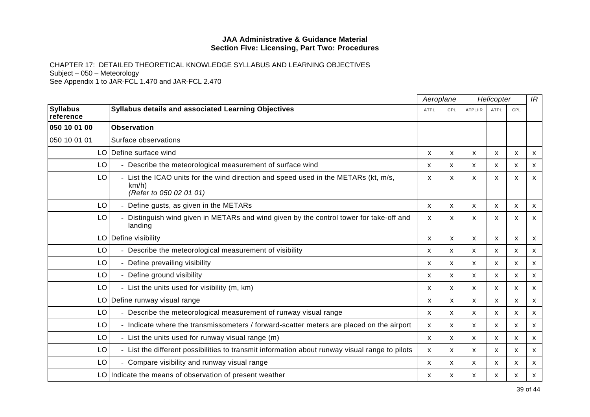|                              |                                                                                                                       | Aeroplane   |              | Helicopter   |              |                           | IR           |
|------------------------------|-----------------------------------------------------------------------------------------------------------------------|-------------|--------------|--------------|--------------|---------------------------|--------------|
| <b>Syllabus</b><br>reference | <b>Syllabus details and associated Learning Objectives</b>                                                            | <b>ATPL</b> | CPL          | ATPL/IR      | <b>ATPL</b>  | CPL                       |              |
| 050 10 01 00                 | <b>Observation</b>                                                                                                    |             |              |              |              |                           |              |
| 050 10 01 01                 | Surface observations                                                                                                  |             |              |              |              |                           |              |
|                              | LO Define surface wind                                                                                                | X           | X            | X            | X            | X                         | X            |
| LO                           | - Describe the meteorological measurement of surface wind                                                             | X           | X            | X            | $\mathsf{x}$ | $\boldsymbol{\mathsf{x}}$ | X            |
| LO                           | List the ICAO units for the wind direction and speed used in the METARs (kt, m/s,<br>km/h)<br>(Refer to 050 02 01 01) | x           | X            | X            | X            | $\boldsymbol{\mathsf{x}}$ | X            |
| LO                           | - Define gusts, as given in the METARs                                                                                | X           | X            | X            | X            | $\boldsymbol{\mathsf{x}}$ | X.           |
| LO                           | Distinguish wind given in METARs and wind given by the control tower for take-off and<br>landing                      | x           | X            | X            | x            | х                         | X            |
| LO.                          | Define visibility                                                                                                     | X           | $\mathsf{x}$ | X            | $\mathsf{x}$ | $\mathsf{x}$              | $\mathsf{x}$ |
| LO                           | - Describe the meteorological measurement of visibility                                                               | x           | $\mathsf{x}$ | X            | X            | X                         | X            |
| LO                           | - Define prevailing visibility                                                                                        | X           | X            | X            | X            | X                         | X            |
| LO                           | - Define ground visibility                                                                                            | x           | $\mathsf{x}$ | X            | $\mathsf{x}$ | $\boldsymbol{\mathsf{x}}$ | X            |
| LO                           | - List the units used for visibility (m, km)                                                                          | X           | X            | X            | X            | X                         | X            |
| LO.                          | Define runway visual range                                                                                            | x           | $\mathsf{x}$ | X            | $\mathsf{x}$ | $\boldsymbol{\mathsf{x}}$ | X            |
| LO                           | - Describe the meteorological measurement of runway visual range                                                      | X           | X            | X            | X            | X                         | X            |
| LO                           | - Indicate where the transmissometers / forward-scatter meters are placed on the airport                              | x           | X            | X            | х            | X                         | X            |
| LO                           | - List the units used for runway visual range (m)                                                                     | X           | $\mathsf{x}$ | $\mathsf{x}$ | $\mathsf{x}$ | X                         | X            |
| LO                           | - List the different possibilities to transmit information about runway visual range to pilots                        | X           | X            | X            | X            | $\boldsymbol{\mathsf{x}}$ | X            |
| LO                           | - Compare visibility and runway visual range                                                                          | X           | $\mathsf{x}$ | X            | X            | X                         | X            |
|                              | LO Indicate the means of observation of present weather                                                               | x           | X            | x            | X            | х                         | X            |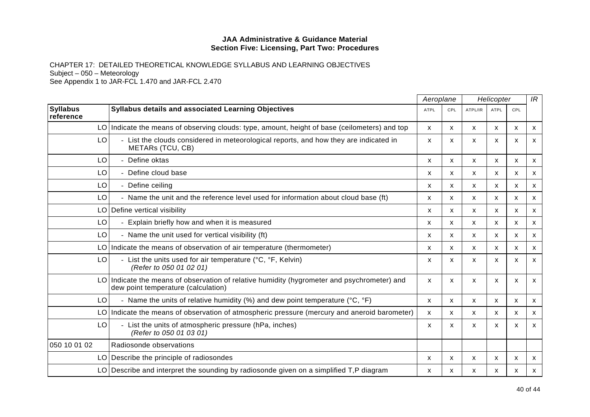|                              |                                                                                                                                    | Aeroplane |     | Helicopter   |                           |     | IR                        |
|------------------------------|------------------------------------------------------------------------------------------------------------------------------------|-----------|-----|--------------|---------------------------|-----|---------------------------|
| <b>Syllabus</b><br>reference | Syllabus details and associated Learning Objectives                                                                                | ATPL      | CPL | ATPL/IR      | ATPL                      | CPL |                           |
|                              | LO Indicate the means of observing clouds: type, amount, height of base (ceilometers) and top                                      | X         | X   | X            | X                         | X   | $\boldsymbol{\mathsf{x}}$ |
| LO                           | List the clouds considered in meteorological reports, and how they are indicated in<br>÷.<br>METARs (TCU, CB)                      | X         | x   | X            | X                         | X   | X                         |
| LO                           | Define oktas                                                                                                                       | X         | X   | $\mathsf{x}$ | X                         | X   | $\boldsymbol{\mathsf{x}}$ |
| LO                           | Define cloud base                                                                                                                  | x         | X   | X            | X                         | X   | $\mathsf{x}$              |
| LO                           | - Define ceiling                                                                                                                   | x         | x   | x            | x                         | х   | X                         |
| LO                           | - Name the unit and the reference level used for information about cloud base (ft)                                                 | X         | X   | $\mathsf{x}$ | $\mathsf{x}$              | X   | $\boldsymbol{\mathsf{x}}$ |
|                              | LO Define vertical visibility                                                                                                      | X         | x   | X            | х                         | X   | $\boldsymbol{\mathsf{x}}$ |
| LO                           | Explain briefly how and when it is measured                                                                                        | X         | X   | X            | $\mathsf{x}$              | X   | $\mathsf{x}$              |
| LO                           | - Name the unit used for vertical visibility (ft)                                                                                  | X         | X   | $\mathsf{x}$ | $\mathsf{x}$              | X   | X                         |
|                              | LO Indicate the means of observation of air temperature (thermometer)                                                              | x         | X   | X            | X                         | X   | $\boldsymbol{\mathsf{x}}$ |
| LO                           | - List the units used for air temperature ( $^{\circ}$ C, $^{\circ}$ F, Kelvin)<br>(Refer to 050 01 02 01)                         | X         | X   | X            | x                         | x   | $\mathsf{x}$              |
|                              | LO Indicate the means of observation of relative humidity (hygrometer and psychrometer) and<br>dew point temperature (calculation) | X         | X   | X            | $\boldsymbol{\mathsf{x}}$ | X   | X                         |
| LO                           | - Name the units of relative humidity (%) and dew point temperature ( $^{\circ}$ C, $^{\circ}$ F)                                  | X         | X   | X            | X                         | X   | $\boldsymbol{\mathsf{x}}$ |
|                              | LO Indicate the means of observation of atmospheric pressure (mercury and aneroid barometer)                                       | X         | X   | $\mathsf{x}$ | X                         | X   | $\mathsf{x}$              |
| LO                           | - List the units of atmospheric pressure (hPa, inches)<br>(Refer to 050 01 03 01)                                                  | X         | X   | X            | X                         | X   | X                         |
| 050 10 01 02                 | Radiosonde observations                                                                                                            |           |     |              |                           |     |                           |
|                              | LO   Describe the principle of radiosondes                                                                                         | x         | X   | X            | X                         | х   | $\boldsymbol{\mathsf{x}}$ |
|                              | LO Describe and interpret the sounding by radiosonde given on a simplified $T$ , P diagram                                         | X         | X   | X            | X                         | X   | $\mathsf{x}$              |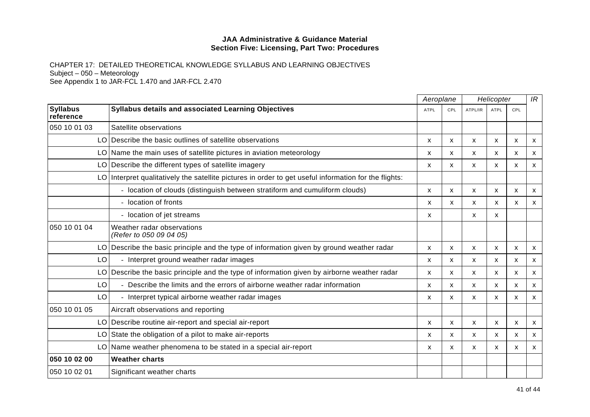|                              |                                                                                                       |             | Aeroplane    | Helicopter |                           |                           | IR |  |
|------------------------------|-------------------------------------------------------------------------------------------------------|-------------|--------------|------------|---------------------------|---------------------------|----|--|
| <b>Syllabus</b><br>reference | <b>Syllabus details and associated Learning Objectives</b>                                            | <b>ATPL</b> | CPL          | ATPL/IR    | ATPL                      | CPL                       |    |  |
| 050 10 01 03                 | Satellite observations                                                                                |             |              |            |                           |                           |    |  |
|                              | LO Describe the basic outlines of satellite observations                                              | X           | X            | X          | $\boldsymbol{\mathsf{x}}$ | X                         | X  |  |
| LO.                          | Name the main uses of satellite pictures in aviation meteorology                                      | X           | $\mathsf{x}$ | X          | $\mathsf{x}$              | $\boldsymbol{\mathsf{x}}$ | X  |  |
|                              | LO Describe the different types of satellite imagery                                                  | x           | X            | X          | $\boldsymbol{\mathsf{x}}$ | X                         | X  |  |
|                              | LO Interpret qualitatively the satellite pictures in order to get useful information for the flights: |             |              |            |                           |                           |    |  |
|                              | - location of clouds (distinguish between stratiform and cumuliform clouds)                           | X           | $\mathsf{x}$ | X          | $\boldsymbol{\mathsf{x}}$ | $\boldsymbol{\mathsf{x}}$ | X  |  |
|                              | - location of fronts                                                                                  | X           | X            | X          | X                         | X                         | X  |  |
|                              | - location of jet streams                                                                             | x           |              | X          | $\mathsf{x}$              |                           |    |  |
| 050 10 01 04                 | Weather radar observations<br>(Refer to 050 09 04 05)                                                 |             |              |            |                           |                           |    |  |
|                              | LO Describe the basic principle and the type of information given by ground weather radar             | X           | X            | X          | X                         | $\boldsymbol{\mathsf{x}}$ | X  |  |
| LO                           | - Interpret ground weather radar images                                                               | X           | $\mathsf{x}$ | X          | $\mathsf{x}$              | X                         | X  |  |
| LO.                          | Describe the basic principle and the type of information given by airborne weather radar              | x           | x            | X          | X                         | X                         | x  |  |
| LO                           | - Describe the limits and the errors of airborne weather radar information                            | x           | x            | X          | х                         | X                         | X  |  |
| LO                           | - Interpret typical airborne weather radar images                                                     | X           | X            | X          | $\mathsf{x}$              | $\boldsymbol{\mathsf{x}}$ | X  |  |
| 050 10 01 05                 | Aircraft observations and reporting                                                                   |             |              |            |                           |                           |    |  |
|                              | LO Describe routine air-report and special air-report                                                 | x           | X            | X          | X                         | X                         | X  |  |
|                              | LO State the obligation of a pilot to make air-reports                                                | x           | X            | X          | X                         | $\boldsymbol{\mathsf{x}}$ | X  |  |
|                              | LO   Name weather phenomena to be stated in a special air-report                                      | x           | X            | X          | x                         | х                         | x  |  |
| 050 10 02 00                 | <b>Weather charts</b>                                                                                 |             |              |            |                           |                           |    |  |
| 050 10 02 01                 | Significant weather charts                                                                            |             |              |            |                           |                           |    |  |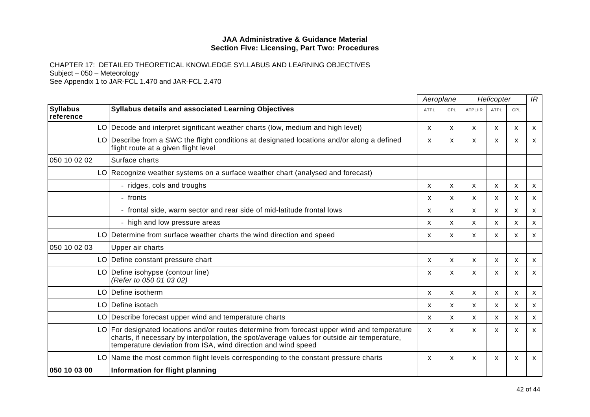|                              |                                                                                                                                                                                                                                                           | Aeroplane   |     |              | Helicopter   | IR                        |                           |
|------------------------------|-----------------------------------------------------------------------------------------------------------------------------------------------------------------------------------------------------------------------------------------------------------|-------------|-----|--------------|--------------|---------------------------|---------------------------|
| <b>Syllabus</b><br>reference | Syllabus details and associated Learning Objectives                                                                                                                                                                                                       | <b>ATPL</b> | CPL | ATPL/IR      | <b>ATPL</b>  | CPL                       |                           |
|                              | LO Decode and interpret significant weather charts (low, medium and high level)                                                                                                                                                                           | X           | X   | X            | $\mathsf{x}$ | X                         | X                         |
|                              | LO Describe from a SWC the flight conditions at designated locations and/or along a defined<br>flight route at a given flight level                                                                                                                       | X           | x   | X            | X            | X                         | X                         |
| 050 10 02 02                 | Surface charts                                                                                                                                                                                                                                            |             |     |              |              |                           |                           |
|                              | LO Recognize weather systems on a surface weather chart (analysed and forecast)                                                                                                                                                                           |             |     |              |              |                           |                           |
|                              | - ridges, cols and troughs                                                                                                                                                                                                                                | X           | x   | X            | X            | X                         | X                         |
|                              | - fronts                                                                                                                                                                                                                                                  | X           | X   | X            | X            | X                         | $\boldsymbol{\mathsf{x}}$ |
|                              | - frontal side, warm sector and rear side of mid-latitude frontal lows                                                                                                                                                                                    | X           | X   | X            | х            | X                         | $\boldsymbol{\mathsf{x}}$ |
|                              | - high and low pressure areas                                                                                                                                                                                                                             | X           | X   | X            | $\mathsf{x}$ | X                         | $\mathsf{x}$              |
|                              | LO Determine from surface weather charts the wind direction and speed                                                                                                                                                                                     | X           | X   | $\mathsf{x}$ | X            | X                         | X                         |
| 050 10 02 03                 | Upper air charts                                                                                                                                                                                                                                          |             |     |              |              |                           |                           |
|                              | LO Define constant pressure chart                                                                                                                                                                                                                         | X           | X   | X            | X            | X                         | X                         |
|                              | LO Define isohypse (contour line)<br>(Refer to 050 01 03 02)                                                                                                                                                                                              | X           | X   | X            | x            | X                         | X                         |
| LO                           | Define isotherm                                                                                                                                                                                                                                           | X           | X   | $\mathsf{x}$ | $\mathsf{x}$ | $\mathsf{x}$              | $\mathsf{x}$              |
|                              | LO Define isotach                                                                                                                                                                                                                                         | х           | x   | x            | x            | х                         | X                         |
|                              | LO Describe forecast upper wind and temperature charts                                                                                                                                                                                                    | X           | X   | X            | X            | $\mathsf{x}$              | $\boldsymbol{\mathsf{x}}$ |
| LO.                          | For designated locations and/or routes determine from forecast upper wind and temperature<br>charts, if necessary by interpolation, the spot/average values for outside air temperature,<br>temperature deviation from ISA, wind direction and wind speed | X           | X   | X            | X            | $\boldsymbol{\mathsf{x}}$ | $\mathsf{x}$              |
|                              | LO Name the most common flight levels corresponding to the constant pressure charts                                                                                                                                                                       | X           | X   | X            | X            | X                         | X                         |
| 050 10 03 00                 | Information for flight planning                                                                                                                                                                                                                           |             |     |              |              |                           |                           |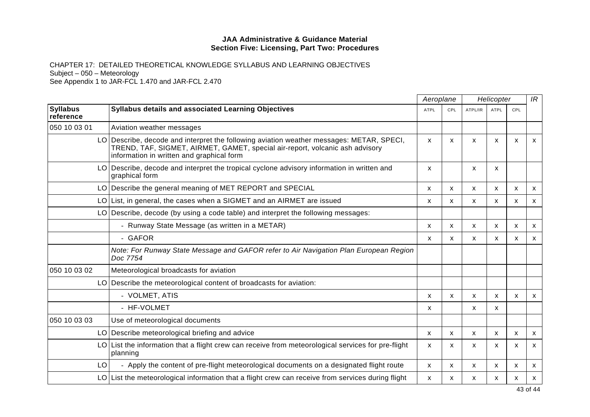|                              |                                                                                                                                                                                                                       |             | Aeroplane                 |         | Helicopter                |     |   |
|------------------------------|-----------------------------------------------------------------------------------------------------------------------------------------------------------------------------------------------------------------------|-------------|---------------------------|---------|---------------------------|-----|---|
| <b>Syllabus</b><br>reference | <b>Syllabus details and associated Learning Objectives</b>                                                                                                                                                            | <b>ATPL</b> | <b>CPL</b>                | ATPL/IR | <b>ATPL</b>               | CPL |   |
| 050 10 03 01                 | Aviation weather messages                                                                                                                                                                                             |             |                           |         |                           |     |   |
|                              | LO Describe, decode and interpret the following aviation weather messages: METAR, SPECI,<br>TREND, TAF, SIGMET, AIRMET, GAMET, special air-report, volcanic ash advisory<br>information in written and graphical form | X           | X                         | X       | X                         | x   | X |
| LO.                          | Describe, decode and interpret the tropical cyclone advisory information in written and<br>graphical form                                                                                                             | X.          |                           | X       | $\mathsf{x}$              |     |   |
|                              | LO Describe the general meaning of MET REPORT and SPECIAL                                                                                                                                                             | x           | x                         | X       | x                         | x   | X |
| LO                           | List, in general, the cases when a SIGMET and an AIRMET are issued                                                                                                                                                    | X           | $\boldsymbol{\mathsf{x}}$ | X       | X                         | X   | X |
| LO                           | Describe, decode (by using a code table) and interpret the following messages:                                                                                                                                        |             |                           |         |                           |     |   |
|                              | - Runway State Message (as written in a METAR)                                                                                                                                                                        | X           | $\boldsymbol{\mathsf{x}}$ | X       | X                         | X   | X |
|                              | - GAFOR                                                                                                                                                                                                               | x           | X                         | X       | x                         | X   | X |
|                              | Note: For Runway State Message and GAFOR refer to Air Navigation Plan European Region<br>Doc 7754                                                                                                                     |             |                           |         |                           |     |   |
| 050 10 03 02                 | Meteorological broadcasts for aviation                                                                                                                                                                                |             |                           |         |                           |     |   |
|                              | LO Describe the meteorological content of broadcasts for aviation:                                                                                                                                                    |             |                           |         |                           |     |   |
|                              | - VOLMET, ATIS                                                                                                                                                                                                        | x           | X                         | X       | $\boldsymbol{\mathsf{x}}$ | X   | X |
|                              | - HF-VOLMET                                                                                                                                                                                                           | x           |                           | X       | X                         |     |   |
| 050 10 03 03                 | Use of meteorological documents                                                                                                                                                                                       |             |                           |         |                           |     |   |
|                              | LO Describe meteorological briefing and advice                                                                                                                                                                        | X           | $\mathsf{x}$              | X       | X                         | X   | X |
| LO                           | List the information that a flight crew can receive from meteorological services for pre-flight<br>planning                                                                                                           | x           | X.                        | X       | X                         | X   | X |
| LO                           | - Apply the content of pre-flight meteorological documents on a designated flight route                                                                                                                               | X           | X                         | X       | X                         | X   | X |
|                              | $LO$ List the meteorological information that a flight crew can receive from services during flight                                                                                                                   | x           | х                         | х       | x                         | x   | X |